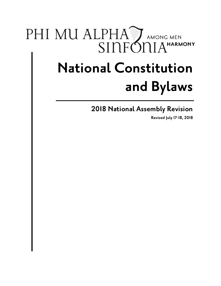## PHI MU ALPHA AMONG MEN SINFÓNIA<sup>HARMONY</sup>

# **National Constitution and Bylaws**

**2018 National Assembly Revision**

**Revised July 17-18, 2018**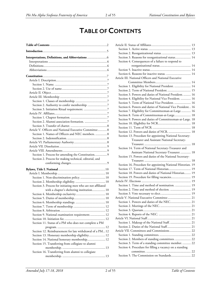## **TABLE OF CONTENTS**

<span id="page-1-0"></span>

| Interpretations, Definitions, and Abbreviations              |
|--------------------------------------------------------------|
|                                                              |
|                                                              |
|                                                              |
|                                                              |
|                                                              |
|                                                              |
|                                                              |
|                                                              |
|                                                              |
|                                                              |
|                                                              |
|                                                              |
|                                                              |
|                                                              |
|                                                              |
|                                                              |
|                                                              |
| Article V. Officers and National Executive Committee 8       |
| Section 1. Names of Officers and NEC members.  8             |
|                                                              |
|                                                              |
|                                                              |
|                                                              |
| Section 1. Process for amending the Constitution 9           |
| Section 2. Process for making technical, editorial, and      |
|                                                              |
|                                                              |
|                                                              |
| Section 1. Non-discrimination policy.  10                    |
|                                                              |
| Section 3. Process for initiating men who are not affiliated |
| with a chapter's sheltering institution 10                   |
|                                                              |
|                                                              |
|                                                              |
|                                                              |
|                                                              |
| Section 9. National examination requirement 12               |
|                                                              |
| Section 11. Status of a PM who does not complete a PM        |
|                                                              |
| Section 12. Reimbursement for late withdrawal of a PM12      |
| Section 13. Honorary membership eligibility 12               |
| Section 14. National honorary membership 12                  |
| Section 15. Transferring from collegiate to alumni           |
|                                                              |
| Section 16. Transferring from alumni to collegiate           |
|                                                              |

| Section 3. Reasons for reorganizational status 14             |
|---------------------------------------------------------------|
| Section 4. Consequences of a failure to respond to            |
|                                                               |
|                                                               |
| Section 6. Reasons for inactive status.  14                   |
| Article III. National Officers and National Executive         |
|                                                               |
| Section 1. Eligibility for National President.  14            |
| Section 2. Term of National President.  15                    |
| Section 3. Powers and duties of National President 16         |
| Section 4. Eligibility for National Vice President.  16       |
| Section 5. Term of National Vice President.  16               |
| Section 6. Powers and duties of National Vice President. . 16 |
| Section 7. Eligibility for Committeeman-at-Large 16           |
| Section 8. Term of Committeeman-at-Large 18                   |
| Section 9. Powers and duties of Committeeman-at-Large. 18     |
|                                                               |
|                                                               |
| Section 12. Powers and duties of NCR.  18                     |
| Section 13. Procedure for appointing National Secretary-      |
| Treasurer and Assistant National Secretary-                   |
|                                                               |
| Section 14. Term of National Secretary-Treasurer and          |
| Assistant National Secretary-Treasurer.  18                   |
| Section 15. Powers and duties of the National Secretary-      |
|                                                               |
| Section 16. Procedure for appointing National Historian. 19   |
| Section 17. Term of National Historian 19                     |
| Section 18. Powers and duties of National Historian 19        |
| Section 19. Procedure for filling vacancies 19                |
|                                                               |
| Section 1. Time and method of nomination.  19                 |
| Section 2. Time and method of election.  19                   |
|                                                               |
| Article V. National Executive Committee  21                   |
| Section 1. Powers and duties of the NEC 21                    |
|                                                               |
|                                                               |
|                                                               |
|                                                               |
| Section 1. Makeup of the National Staff.  21                  |
| Section 2. Duties of the National Staff 21                    |
| Article VII. Committees and Commissions 22                    |
|                                                               |
| Section 2. Members of standing committees.  22                |
| Section 3. Term of a standing committee member 22             |
| Section 4. Procedure for filling a vacancy on a standing      |
|                                                               |
| Section 5. The Commission on Standards 22                     |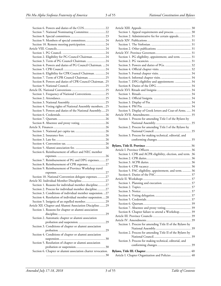| Section 7. National Nominating Committee. 22                 |
|--------------------------------------------------------------|
|                                                              |
| Section 9. Members of special committees 24                  |
| Section 10. Remote meeting participation. 24                 |
|                                                              |
|                                                              |
| Section 2. Eligibility for PG Council Chairman24             |
| Section 3. Term of PG Council Chairman.  24                  |
| Section 4. Powers and duties of PG Council Chairman.  24     |
|                                                              |
| Section 6. Eligibility for CPR Council Chairman.  24         |
| Section 7. Term of CPR Council Chairman. 25                  |
| Section 8. Powers and duties of CPR Council Chairman. . 25   |
|                                                              |
|                                                              |
| Section 1. Frequency of National Conventions25               |
|                                                              |
|                                                              |
|                                                              |
| Section 4. Voting rights of National Assembly members25      |
| Section 5. Powers and duties of the National Assembly25      |
|                                                              |
|                                                              |
|                                                              |
|                                                              |
|                                                              |
|                                                              |
|                                                              |
|                                                              |
|                                                              |
| Section 6. Reimbursement of officer and NEC member           |
|                                                              |
| Section 7. Reimbursement of PG and DPG expenses27            |
| Section 8. Reimbursement of CPR expenses.  27                |
| Section 9. Reimbursement of Province Workshop travel         |
|                                                              |
| Section 10. National Convention delegate expenses 27         |
| Article XI. Individual Member Discipline 27                  |
| Section 1. Reasons for individual member discipline 27       |
| Section 2. Process for individual member discipline27        |
| Section 3. Conditions of individual member suspension. 27    |
|                                                              |
| Section 4. Resolution of individual member suspension28      |
| Section 5. Insignia of an expelled member 29                 |
| Article XII. Chapter and Alumni Association Discipline  29   |
| Section 1. Reasons for chapter or alumni association         |
|                                                              |
| Section 2. Automatic chapter or alumni association           |
|                                                              |
| Section 3. Conditions of chapter or alumni association       |
|                                                              |
| Section 4. Conditions of chapter or alumni association       |
|                                                              |
| Section 5. Resolution of chapter or alumni association       |
|                                                              |
| Section 6. Chapter or alumni association charter revocation. |
|                                                              |
|                                                              |

| Section 1. Appeal requirements and process.  30             |
|-------------------------------------------------------------|
| Section 2. Administrative fee for certain appeals 31        |
|                                                             |
|                                                             |
|                                                             |
|                                                             |
| Section 1. PG eligibility, appointment, and term.  31       |
|                                                             |
|                                                             |
|                                                             |
|                                                             |
|                                                             |
| Section 7. DPG eligibility and appointment.  34             |
|                                                             |
|                                                             |
|                                                             |
|                                                             |
|                                                             |
|                                                             |
| Section 5. Display of Greek letters and Coat-of-Arms.  34   |
|                                                             |
|                                                             |
| Section 1. Process for amending Title I of the Bylaws by    |
|                                                             |
| Section 2. Process for amending Title I of the Bylaws by    |
|                                                             |
| Section 3. Process for making technical, editorial, and     |
|                                                             |
|                                                             |
|                                                             |
|                                                             |
|                                                             |
| Section 1. CPR and ACPR eligibility, election, and term. 36 |
|                                                             |
|                                                             |
|                                                             |
| Section 5. PAC eligibility, appointment, and term.  36      |
|                                                             |
|                                                             |
|                                                             |
|                                                             |
|                                                             |
|                                                             |
|                                                             |
|                                                             |
| Section 7. Absentee and proxy voting 39                     |
| Section 8. Chapter failure to attend a Workshop 39          |
|                                                             |
|                                                             |
| Section 1. Process for amending Title II of the Bylaws by   |
|                                                             |
| Section 2. Process for amending Title II of the Bylaws by   |
|                                                             |
| Section 3. Process for making technical, editorial, and     |
|                                                             |
|                                                             |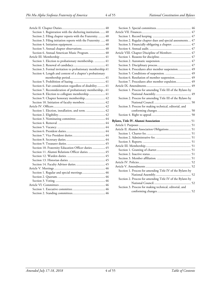| Section 1. Registration with the sheltering institution 40    |
|---------------------------------------------------------------|
| Section 2. Filing chapter reports with the Fraternity.  40    |
| Section 3. Filing initiation reports with the Fraternity.  40 |
|                                                               |
| Section 5. Annual chapter observations 40                     |
| Section 6. Annual American Music Program.  40                 |
|                                                               |
| Section 1. Election to probationary membership.  41           |
|                                                               |
| Section 3. Formal invitation to probationary membership.41    |
| Section 4. Length and content of a chapter's probationary     |
|                                                               |
|                                                               |
| Section 6. Fair consideration regardless of disability 41     |
| Section 7. Reconsideration of probationary membership 41      |
| Section 8. Election to collegiate membership 41               |
| Section 9. Chapter honorary membership 42                     |
| Section 10. Initiation of faculty members.  42                |
|                                                               |
| Section 1. Election, installation, and term.  42              |
|                                                               |
|                                                               |
|                                                               |
|                                                               |
|                                                               |
|                                                               |
|                                                               |
|                                                               |
| Section 10. Fraternity Education Officer duties.  45          |
| Section 11. Alumni Relations Officer duties.  45              |
|                                                               |
|                                                               |
|                                                               |
|                                                               |
| Section 1. Regular and special meetings 46                    |
|                                                               |
|                                                               |
|                                                               |
|                                                               |
|                                                               |
|                                                               |

| Section 2. Regular chapter dues and special assessments.  47 |
|--------------------------------------------------------------|
| Section 3. Financially obligating a chapter.  47             |
|                                                              |
| Article VIII. Chapter Discipline of Members  47              |
|                                                              |
|                                                              |
|                                                              |
| Section 4. Procedures after member suspension 49             |
|                                                              |
| Section 6. Resolution of member suspension 49                |
| Section 7. Procedures after member expulsion 49              |
|                                                              |
| Section 1. Process for amending Title III of the Bylaws by   |
|                                                              |
| Section 2. Process for amending Title III of the Bylaws by   |
|                                                              |
| Section 3. Process for making technical, editorial, and      |
|                                                              |
|                                                              |
|                                                              |
|                                                              |
| Article II. Alumni Association Obligations 51                |
|                                                              |
|                                                              |
|                                                              |
|                                                              |
|                                                              |
|                                                              |
|                                                              |
|                                                              |
|                                                              |
|                                                              |
| Section 1. Process for amending Title IV of the Bylaws by    |
|                                                              |
| Section 2. Process for amending Title IV of the Bylaws by    |
|                                                              |
| Section 3. Process for making technical, editorial, and      |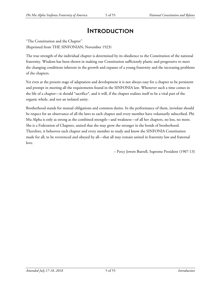### **INTRODUCTION**

<span id="page-4-0"></span>"The Constitution and the Chapter"

(Reprinted from THE SINFONIAN; November 1923)

The true strength of the individual chapter is determined by its obedience to the Constitution of the national fraternity. Wisdom has been shown in making our Constitution sufficiently plastic and progressive to meet the changing conditions inherent in the growth and expanse of a young fraternity and the increasing problems of the chapters.

Yet even at the present stage of adaptation and development it is not always easy for a chapter to be persistent and prompt in meeting all the requirements found in the SINFONIA law. Whenever such a time comes in the life of a chapter—it should \*sacrifice\*, and it will, if the chapter realizes itself to be a vital part of the organic whole, and not an isolated unity.

Brotherhood stands for mutual obligations and common duties. In the performance of them, inviolate should be respect for an observance of all the laws to each chapter and every member have voluntarily subscribed. Phi Mu Alpha is only as strong as the combined strength—and weakness—of all her chapters, no less, no more. She is a Federation of Chapters, united that she may grow the stronger in the bonds of brotherhood. Therefore, it behooves each chapter and every member to study and know the SINFONIA Constitution made for all, to be reverenced and obeyed by all—that all may remain united in fraternity law and fraternal love.

– Percy Jewett Burrell, Supreme President (1907-13)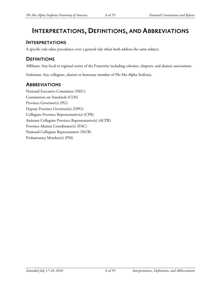### <span id="page-5-0"></span>**INTERPRETATIONS, DEFINITIONS, AND ABBREVIATIONS**

### <span id="page-5-1"></span>**INTERPRETATIONS**

A specific rule takes precedence over a general rule when both address the same subject.

### <span id="page-5-2"></span>**DEFINITIONS**

Affiliates: Any local or regional entity of the Fraternity including colonies, chapters, and alumni associations.

Sinfonian: Any collegiate, alumni or honorary member of Phi Mu Alpha Sinfonia.

### <span id="page-5-3"></span>**ABBREVIATIONS**

National Executive Committee (NEC) Commission on Standards (COS) Province Governor(s) (PG) Deputy Province Governor(s) (DPG) Collegiate Province Representative(s) (CPR) Assistant Collegiate Province Representative(s) (ACPR) Province Alumni Coordinator(s) (PAC) National Collegiate Representative (NCR) Probationary Member(s) (PM)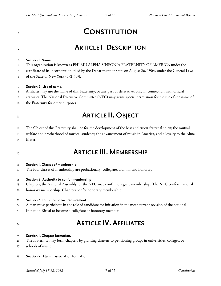## <span id="page-6-0"></span>**CONSTITUTION**

### <span id="page-6-1"></span>**ARTICLE I.DESCRIPTION**

#### <span id="page-6-2"></span>**Section 1. Name.**

- This organization is known as PHI MU ALPHA SINFONIA FRATERNITY OF AMERICA under the
- certificate of its incorporation, filed by the Department of State on August 26, 1904, under the General Laws
- 6 of the State of New York  $(5)(I)(43)$ .

#### <span id="page-6-3"></span>**Section 2. Use of name.**

- Affiliates may use the name of this Fraternity, or any part or derivative, only in connection with official
- activities. The National Executive Committee (NEC) may grant special permission for the use of the name of
- the Fraternity for other purposes.

## <span id="page-6-4"></span>**ARTICLE II. OBJECT**

- The Object of this Fraternity shall be for the development of the best and truest fraternal spirit; the mutual
- welfare and brotherhood of musical students; the advancement of music in America, and a loyalty to the Alma
- Mater.

### <span id="page-6-5"></span>**ARTICLE III. MEMBERSHIP**

#### <span id="page-6-6"></span>**Section 1. Classes of membership.**

The four classes of membership are probationary, collegiate, alumni, and honorary.

#### <span id="page-6-7"></span>**Section 2. Authority to confer membership.**

- Chapters, the National Assembly, or the NEC may confer collegiate membership. The NEC confers national
- honorary membership. Chapters confer honorary membership.

#### <span id="page-6-8"></span>**Section 3. Initiation Ritual requirement.**

- A man must participate in the role of candidate for initiation in the most current revision of the national
- Initiation Ritual to become a collegiate or honorary member.
- 

### <span id="page-6-9"></span>**ARTICLE IV. AFFILIATES**

#### <span id="page-6-10"></span>**Section 1. Chapter formation.**

- The Fraternity may form chapters by granting charters to petitioning groups in universities, colleges, or
- schools of music.
- <span id="page-6-11"></span>**Section 2. Alumniassociation formation.**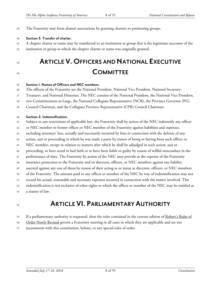The Fraternity may form alumni associations by granting charters to petitioning groups.

#### <span id="page-7-0"></span>**Section 3. Transfer ofcharter.**

- A chapter charter or name may be transferred to an institution or group that is the legitimate successor of the
- institution or group to which the chapter charter or name was originally granted.
- 

## <span id="page-7-1"></span> **ARTICLE V.OFFICERS ANDNATIONAL EXECUTIVE COMMITTEE**

#### <span id="page-7-2"></span>**Section 1. Names of Officersand NEC members.**

- The officers of the Fraternity are the National President, National Vice President, National Secretary-
- Treasurer, and National Historian. The NEC consists of the National President, the National Vice President,
- two Committeemen-at-Large, the National Collegiate Representative (NCR), the Province Governor (PG)
- Council Chairman, and the Collegiate Province Representative (CPR) Council Chairman.

#### <span id="page-7-3"></span>**Section 2. Indemnification.**

- Subject to any restrictions of applicable law, the Fraternity shall by action of the NEC indemnify any officer
- or NEC member or former officer or NEC member of the Fraternity against liabilities and expenses,
- including attorneys' fees, actually and necessarily incurred by him in connection with the defense of any
- action, suit or proceeding in which he was made a party by reason of being or having been such officer or
- NEC member, except in relation to matters after which he shall be adjudged in such action, suit or
- proceeding, to have acted in bad faith or to have been liable or guilty by reason of willful misconduct in the
- performance of duty. The Fraternity by action of the NEC may provide at the expense of the Fraternity
- insurance protection to the Fraternity and its directors, officers, or NEC members against any liability
- asserted against any one of them by reason of their acting as or status as directors, officers, or NEC members
- of the Fraternity. The amount paid to any officer or member of the NEC by way of indemnification may not
- exceed his actual, reasonable and necessary expenses incurred in connection with the matter involved. This
- indemnification is not exclusive of other rights to which the officer or member of the NEC may be entitled as
- a matter of law.

### <span id="page-7-4"></span>**ARTICLE VI. PARLIAMENTARY AUTHORITY**

- 55 If a parliamentary authority is requested, then the rules contained in the current edition of Robert's Rules of
- 56 Order Newly Revised govern a Fraternity meeting in all cases in which they are applicable and are not
- inconsistent with this constitution, bylaws, or any special rules of order.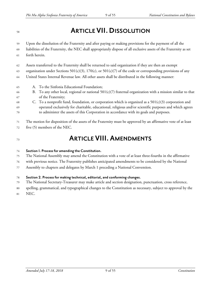## <span id="page-8-0"></span>**ARTICLE VII.DISSOLUTION**

- Upon the dissolution of the Fraternity and after paying or making provisions for the payment of all the
- liabilities of the Fraternity, the NEC shall appropriately dispose of all exclusive assets of the Fraternity as set forth herein.
- Assets transferred to the Fraternity shall be returned to said organization if they are then an exempt
- organization under Sections 501(c)(3), 170(c), or 501(c)(7) of the code or corresponding provisions of any
- United States Internal Revenue law. All other assets shall be distributed in the following manner:
- A. To the Sinfonia Educational Foundation;
- 66 B. To any other local, regional or national  $501(c)(7)$  fraternal organization with a mission similar to that of the Fraternity;
- 68 C. To a nonprofit fund, foundation, or corporation which is organized as a  $501(c)(3)$  corporation and operated exclusively for charitable, educational, religious and/or scientific purposes and which agrees to administer the assets of this Corporation in accordance with its goals and purposes.
- The motion for disposition of the assets of the Fraternity must be approved by an affirmative vote of at least
- five (5) members of the NEC.
- 

### <span id="page-8-1"></span>**ARTICLE VIII. AMENDMENTS**

### <span id="page-8-2"></span>**Section 1. Process foramending the Constitution.**

- The National Assembly may amend the Constitution with a vote of at least three-fourths in the affirmative
- with previous notice. The Fraternity publishes anticipated amendments to be considered by the National
- Assembly to chapters and delegates by March 1 preceding a National Convention.

### <span id="page-8-3"></span>**Section 2. Process for making technical, editorial,and conforming changes.**

- The National Secretary-Treasurer may make article and section designation, punctuation, cross reference,
- spelling, grammatical, and typographical changes to the Constitution as necessary, subject to approval by the
- NEC.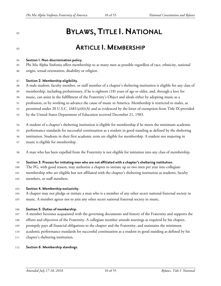## <span id="page-9-0"></span>**BYLAWS, TITLE I. NATIONAL**

### <span id="page-9-1"></span>**ARTICLE I. MEMBERSHIP**

#### <span id="page-9-2"></span>**Section 1. Non-discrimination policy.**

 Phi Mu Alpha Sinfonia offers membership to as many men as possible regardless of race, ethnicity, national origin, sexual orientation, disability or religion.

#### <span id="page-9-3"></span>**Section 2. Membership eligibility.**

- A male student, faculty member, or staff member of a chapter's sheltering institution is eligible for any class of
- membership, including probationary, if he is eighteen (18) years of age or older, and, through a love for
- music, can assist in the fulfillment of the Fraternity's Object and ideals either by adopting music as a
- profession, or by working to advance the cause of music in America. Membership is restricted to males, as
- permitted under 20 U.S.C. 1681(a)(6)(A) and as evidenced by the letter of exemption from Title IX provided
- by the United States Department of Education received December 21, 1983.
- A student of a chapter's sheltering institution is eligible for membership if he meets the minimum academic
- performance standards for successful continuation as a student in good standing as defined by the sheltering
- institution. Students in their first academic term are eligible for membership. A student not majoring in
- music is eligible for membership.
- A man who has been expelled from the Fraternity is not eligible for initiation into any class of membership.

#### <span id="page-9-4"></span>**Section 3. Process for initiating men who are notaffiliated with a chapter's sheltering institution.**

- The PG, with good reason, may authorize a chapter to initiate up to two men per year into collegiate
- membership who are eligible but not affiliated with the chapter's sheltering institution as students, faculty
- 

members, or staff members.

#### <span id="page-9-5"></span>**Section 4. Membership exclusivity.**

- A chapter may not pledge or initiate a man who is a member of any other secret national fraternal society in
- music. A member agrees not to join any other secret national fraternal society in music.

#### <span id="page-9-6"></span>**Section 5. Duties of membership.**

- A member becomes acquainted with the governing documents and history of the Fraternity and supports the
- efforts and objectives of the Fraternity. A collegiate member attends meetings as required by his chapter,
- promptly pays all financial obligations to the chapter and the Fraternity, and maintains the minimum
- academic performance standards for successful continuation as a student in good standing as defined by his
- chapter's sheltering institution.

#### <span id="page-9-7"></span>**Section 6. Membership standings.**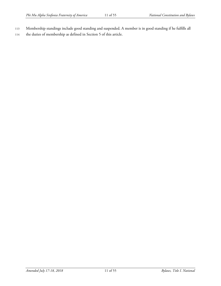- 113 Membership standings include good standing and suspended. A member is in good standing if he fulfills all
- 114 the duties of membership as defined in Section 5 of this article.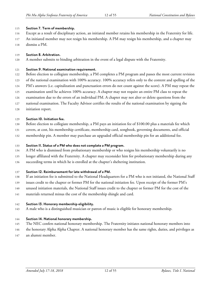#### <span id="page-11-0"></span>**Section 7. Term of membership.**

- Except as a result of disciplinary action, an initiated member retains his membership in the Fraternity for life.
- An initiated member may not resign his membership. A PM may resign his membership, and a chapter may
- dismiss a PM.

#### <span id="page-11-1"></span>**Section 8. Arbitration.**

A member submits to binding arbitration in the event of a legal dispute with the Fraternity.

#### <span id="page-11-2"></span>**Section 9. National examination requirement.**

- Before election to collegiate membership, a PM completes a PM program and passes the most current revision
- of the national examination with 100% accuracy. 100% accuracy refers only to the content and spelling of the
- PM's answers (i.e. capitalization and punctuation errors do not count against the score). A PM may repeat the
- examination until he achieves 100% accuracy. A chapter may not require an entire PM class to repeat the
- examination due to the errors of an individual PM. A chapter may not alter or delete questions from the
- national examination. The Faculty Advisor certifies the results of the national examination by signing the
- initiation report.

#### <span id="page-11-3"></span>**Section 10. Initiation fee.**

- Before election to collegiate membership, a PM pays an initiation fee of \$100.00 plus a materials fee which
- covers, at cost, his membership certificate, membership card, songbook, governing documents, and official
- membership pin. A member may purchase an upgraded official membership pin for an additional fee.

#### <span id="page-11-4"></span>**Section 11. Status ofa PM who does notcomplete a PM program.**

- A PM who is dismissed from probationary membership or who resigns his membership voluntarily is no
- longer affiliated with the Fraternity. A chapter may reconsider him for probationary membership during any
- succeeding terms in which he is enrolled at the chapter's sheltering institution.

#### <span id="page-11-5"></span>**Section 12. Reimbursement for late withdrawal of a PM.**

- If an initiation fee is submitted to the National Headquarters for a PM who is not initiated, the National Staff
- issues credit to the chapter or former PM for the national initiation fee. Upon receipt of the former PM's
- unused initiation materials, the National Staff issues credit to the chapter or former PM for the cost of the
- materials returned minus the cost of the membership shingle and card.

#### <span id="page-11-6"></span>**Section 13. Honorary membership eligibility.**

A male who is a distinguished musician or patron of music is eligible for honorary membership.

#### <span id="page-11-7"></span>**Section 14. National honorary membership.**

- The NEC confers national honorary membership. The Fraternity initiates national honorary members into
- the honorary Alpha Alpha Chapter. A national honorary member has the same rights, duties, and privileges as
- an alumni member.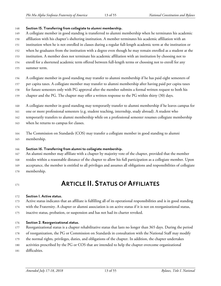#### <span id="page-12-0"></span>**Section 15. Transferring from collegiate to alumni membership.**

- A collegiate member in good standing is transferred to alumni membership when he terminates his academic
- affiliation with his chapter's sheltering institution. A member terminates his academic affiliation with an
- institution when he is not enrolled in classes during a regular full-length academic term at the institution or
- when he graduates from the institution with a degree even though he may remain enrolled as a student at the
- institution. A member does not terminate his academic affiliation with an institution by choosing not to
- enroll for a shortened academic term offered between full-length terms or choosing not to enroll for any
- summer term.
- A collegiate member in good standing may transfer to alumni membership if he has paid eight semesters of
- per capita taxes. A collegiate member may transfer to alumni membership after having paid per capita taxes
- for future semesters only with PG approval after the member submits a formal written request to both his
- chapter and the PG. The chapter may offer a written response to the PG within thirty (30) days.
- A collegiate member in good standing may temporarily transfer to alumni membership if he leaves campus for
- one or more professional semesters (e.g. student teaching, internship, study abroad). A student who

temporarily transfers to alumni membership while on a professional semester resumes collegiate membership

- when he returns to campus for classes.
- The Commission on Standards (COS) may transfer a collegiate member in good standing to alumni
- membership.

### <span id="page-12-1"></span>**Section 16. Transferring from alumni to collegiate membership.**

- An alumni member may affiliate with a chapter by majority vote of the chapter, provided that the member
- resides within a reasonable distance of the chapter to allow his full participation as a collegiate member. Upon
- acceptance, the member is entitled to all privileges and assumes all obligations and responsibilities of collegiate
- membership.

### <span id="page-12-2"></span>**ARTICLE II. STATUS OFAFFILIATES**

### <span id="page-12-3"></span>**Section 1. Active status.**

- Active status indicates that an affiliate is fulfilling all of its operational responsibilities and is in good standing
- with the Fraternity. A chapter or alumni association is on active status if it is not on reorganizational status,
- inactive status, probation, or suspension and has not had its charter revoked.

### <span id="page-12-4"></span>**Section 2. Reorganizational status.**

- Reorganizational status is a chapter rehabilitative status that lasts no longer than 365 days. During the period
- of reorganization, the PG or Commission on Standards in consultation with the National Staff may modify
- the normal rights, privileges, duties, and obligations of the chapter. In addition, the chapter undertakes
- activities prescribed by the PG or COS that are intended to help the chapter overcome organizational
- difficulties.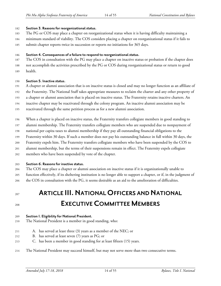#### <span id="page-13-0"></span>**Section 3. Reasons for reorganizational status.**

- The PG or COS may place a chapter on reorganizational status when it is having difficulty maintaining a
- minimum standard of viability. The COS considers placing a chapter on reorganizational status if it fails to
- submit chapter reports twice in succession or reports no initiations for 365 days.

#### <span id="page-13-1"></span>**Section 4. Consequences ofafailure to respond to reorganizational status.**

- The COS in consultation with the PG may place a chapter on inactive status or probation if the chapter does
- not accomplish the activities prescribed by the PG or COS during reorganizational status or return to good
- health.

#### <span id="page-13-2"></span>**Section 5. Inactive status.**

- A chapter or alumni association that is on inactive status is closed and may no longer function as an affiliate of
- the Fraternity. The National Staff takes appropriate measures to reclaim the charter and any other property of
- a chapter or alumni association that is placed on inactive status. The Fraternity retains inactive charters. An
- inactive chapter may be reactivated through the colony program. An inactive alumni association may be
- reactivated through the same petition process as for a new alumni association.
- When a chapter is placed on inactive status, the Fraternity transfers collegiate members in good standing to
- alumni membership. The Fraternity transfers collegiate members who are suspended due to nonpayment of
- national per capita taxes to alumni membership if they pay all outstanding financial obligations to the
- Fraternity within 30 days. If such a member does not pay his outstanding balance in full within 30 days, the
- Fraternity expels him. The Fraternity transfers collegiate members who have been suspended by the COS to
- alumni membership, but the terms of their suspensions remain in effect. The Fraternity expels collegiate
- 
- members who have been suspended by vote of the chapter.

#### <span id="page-13-3"></span>**Section 6. Reasons for inactive status.**

- The COS may place a chapter or alumni association on inactive status if it is organizationally unable to
- function effectively, if its sheltering institution is no longer able to support a chapter, or if, in the judgment of the COS in consultation with the PG, it seems desirable as an aid to the amelioration of difficulties.
- 

## <span id="page-13-4"></span>**ARTICLE III. NATIONAL OFFICERS AND NATIONAL EXECUTIVE COMMITTEE MEMBERS**

#### <span id="page-13-5"></span>**Section 1. Eligibility for National President.**

- The National President is a member in good standing, who:
- A. has served at least three (3) years as a member of the NEC; or
- B. has served at least seven (7) years as PG; or
- C. has been a member in good standing for at least fifteen (15) years.
- The National President may succeed himself, but may not serve more than two consecutive terms.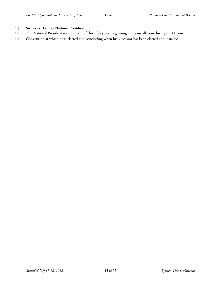#### <span id="page-14-0"></span><sup>215</sup> **Section 2. Term of National President.**

- 216 The National President serves a term of three (3) years, beginning at his installation during the National
- 217 Convention at which he is elected and concluding when his successor has been elected and installed.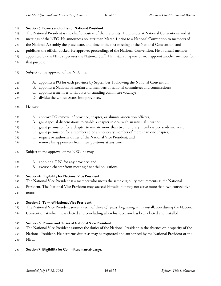<span id="page-15-0"></span>**Section 3. Powersand duties of National President.**

 The National President is the chief executive of the Fraternity. He presides at National Conventions and at meetings of the NEC. He announces no later than March 1 prior to a National Convention to members of the National Assembly the place, date, and time of the first meeting of the National Convention, and publishes the official docket. He approves proceedings of the National Convention. He or a staff member

- appointed by the NEC supervises the National Staff. He installs chapters or may appoint another member for
- that purpose.
- Subject to the approval of the NEC, he:
- A. appoints a PG for each province by September 1 following the National Convention;
- B. appoints a National Historian and members of national committees and commissions;
- C. appoints a member to fill a PG or standing committee vacancy;
- D. divides the United States into provinces.
- He may:
- A. approve PG removal of province, chapter, or alumni association officers;
- B. grant special dispensations to enable a chapter to deal with an unusual situation;
- C. grant permission for a chapter to initiate more than two honorary members per academic year;
- D. grant permission for a member to be an honorary member of more than one chapter;
- E. request or authorize duties of the National Vice President; and
- F. remove his appointees from their positions at any time.
- Subject to the approval of the NEC, he may:
- A. appoint a DPG for any province; and
- B. excuse a chapter from meeting financial obligations.

### <span id="page-15-1"></span>**Section 4. Eligibility for National Vice President.**

- The National Vice President is a member who meets the same eligibility requirements as the National
- President. The National Vice President may succeed himself, but may not serve more than two consecutive
- terms.

### <span id="page-15-2"></span>**Section 5. Term of National Vice President.**

- The National Vice President serves a term of three (3) years, beginning at his installation during the National
- Convention at which he is elected and concluding when his successor has been elected and installed.

### <span id="page-15-3"></span>**Section 6. Powersand duties of National Vice President.**

- The National Vice President assumes the duties of the National President in the absence or incapacity of the
- National President. He performs duties as may be requested and authorized by the National President or the
- NEC.

### <span id="page-15-4"></span>**Section 7. Eligibility for Committeeman-at-Large.**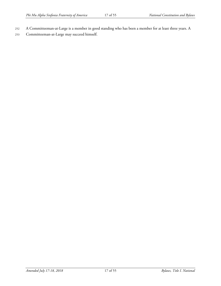- 252 A Committeeman-at-Large is a member in good standing who has been a member for at least three years. A
- 253 Committeeman-at-Large may succeed himself.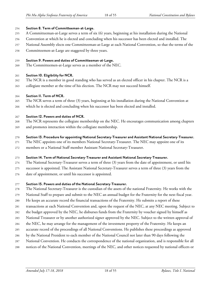#### <span id="page-17-0"></span>**Section 8. Term of Committeeman-at-Large.**

- A Committeeman-at-Large serves a term of six (6) years, beginning at his installation during the National
- Convention at which he is elected and concluding when his successor has been elected and installed. The
- National Assembly elects one Committeeman-at-Large at each National Convention, so that the terms of the
- Committeemen-at-Large are staggered by three years.

#### <span id="page-17-1"></span>**Section 9. Powersand duties of Committeeman-at-Large.**

The Committeemen-at-Large serves as a member of the NEC.

#### <span id="page-17-2"></span>**Section 10. Eligibility for NCR.**

- The NCR is a member in good standing who has served as an elected officer in his chapter. The NCR is a
- collegiate member at the time of his election. The NCR may not succeed himself.

#### <span id="page-17-3"></span>**Section 11. Term of NCR.**

- The NCR serves a term of three (3) years, beginning at his installation during the National Convention at
- which he is elected and concluding when his successor has been elected and installed.

#### <span id="page-17-4"></span>**Section 12. Powersand duties of NCR.**

- The NCR represents the collegiate membership on the NEC. He encourages communication among chapters
- and promotes interaction within the collegiate membership.

#### <span id="page-17-5"></span>**Section 13. Procedure forappointing National Secretary-Treasurerand Assistant National Secretary-Treasurer.**

- The NEC appoints one of its members National Secretary-Treasurer. The NEC may appoint one of its
- members or a National Staff member Assistant National Secretary-Treasurer.

#### <span id="page-17-6"></span>**Section 14. Term of National Secretary-Treasurerand Assistant National Secretary-Treasurer.**

- The National Secretary-Treasurer serves a term of three (3) years from the date of appointment, or until his
- successor is appointed. The Assistant National Secretary-Treasurer serves a term of three (3) years from the
- date of appointment, or until his successor is appointed.

#### <span id="page-17-7"></span>**Section 15. Powersand duties of the National Secretary-Treasurer.**

- The National Secretary-Treasurer is the custodian of the assets of the national Fraternity. He works with the
- National Staff to prepare and submit to the NEC an annual budget for the Fraternity for the next fiscal year.
- He keeps an accurate record the financial transactions of the Fraternity. He submits a report of these
- transactions at each National Convention and, upon the request of the NEC, at any NEC meeting. Subject to
- the budget approved by the NEC, he disburses funds from the Fraternity by voucher signed by himself as
- National Treasurer or by another authorized signer approved by the NEC. Subject to the written approval of
- the NEC, he may arrange for the management of the investment property of the Fraternity. He keeps an
- accurate record of the proceedings of all National Conventions. He publishes these proceedings as approved
- by the National President to each member of the National Council not later than 90 days following the
- National Convention. He conducts the correspondence of the national organization, and is responsible for all
- notices of the National Convention, meetings of the NEC, and other notices requested by national officers or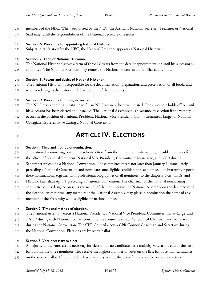- members of the NEC. When authorized by the NEC, the Assistant National Secretary-Treasurer or National
- Staff may fulfill the responsibilities of the National Secretary-Treasurer.
- <span id="page-18-0"></span>**Section 16. Procedure forappointing National Historian.**
- Subject to ratification by the NEC, the National President appoints a National Historian.

#### <span id="page-18-1"></span>**Section 17. Term of National Historian.**

- The National Historian serves a term of three (3) years from the date of appointment, or until his successor is
- appointed. The National President may remove the National Historian from office at any time.

#### <span id="page-18-2"></span>**Section 18. Powersand duties of National Historian.**

- The National Historian is responsible for the documentation, preparation, and preservation of all books and
- records relating to the history and development of the Fraternity.

#### <span id="page-18-3"></span>**Section 19. Procedure for filling vacancies.**

- The NEC may appoint a substitute to fill an NEC vacancy, however created. The appointee holds office until
- his successor has been elected and installed. The National Assembly fills a vacancy by election if the vacancy
- occurs in the position of National President, National Vice President, Committeeman‐at-Large, or National
- Collegiate Representative during a National Convention.
- 

### <span id="page-18-4"></span>**ARTICLE IV. ELECTIONS**

#### <span id="page-18-5"></span>**Section 1. Time and method of nomination.**

 The national nominating committee solicits letters from the entire Fraternity naming possible nominees for the offices of National President, National Vice President, Committeeman-at-large, and NCR during September preceding a National Convention. The committee meets not later than January 1 immediately preceding a National Convention and nominates one eligible candidate for each office. The Fraternity reports these nominations, together with professional biographies of all nominees, to the chapters, PGs, CPRs, and NEC no later than April 1 preceding a National Convention. The chairman of the national nominating committee or his designee presents the names of the nominees to the National Assembly on the day preceding the election. At that time, any member of the National Assembly may place in nomination the name of any member of the Fraternity who is eligible for national office.

### <span id="page-18-6"></span>**Section 2. Time and method of election.**

- The National Assembly elects a National President, a National Vice President, Committeeman-at-Large, and
- a NCR during each National Convention. The PG Council elects a PG Council Chairman and Secretary
- during the National Convention. The CPR Council elects a CPR Council Chairman and Secretary during
- the National Convention. Elections are by secret ballot.

### <span id="page-18-7"></span>**Section 3. Vote necessary to elect.**

- A majority of the votes cast is necessary for election. If no candidate has a majority vote at the end of the first
- ballot, only the three nominees who receive the highest number of votes on the first ballot remain candidates
- on the second ballot. If no candidate has a majority vote at the end of the second ballot, only the two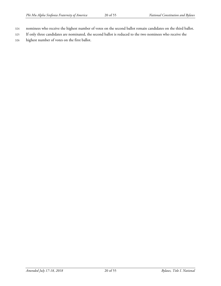- 324 nominees who receive the highest number of votes on the second ballot remain candidates on the third ballot.
- 325 If only three candidates are nominated, the second ballot is reduced to the two nominees who receive the
- 326 highest number of votes on the first ballot.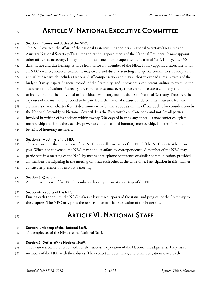### <span id="page-20-0"></span>**ARTICLE V.NATIONAL EXECUTIVECOMMITTEE**

#### <span id="page-20-1"></span>**Section 1. Powersand duties of the NEC.**

- The NEC oversees the affairs of the national Fraternity. It appoints a National Secretary-Treasurer and Assistant National Secretary-Treasurer and ratifies appointments of the National President. It may appoint other officers as necessary. It may appoint a staff member to supervise the National Staff. It may, after 30 days' notice and due hearing, remove from office any member of the NEC. It may appoint a substitute to fill an NEC vacancy, however created. It may create and dissolve standing and special committees. It adopts an annual budget which includes National Staff compensation and may authorize expenditures in excess of the budget. It may inspect financial records of the Fraternity, and it provides a competent auditor to examine the accounts of the National Secretary-Treasurer at least once every three years. It selects a company and amount to insure or bond the individual or individuals who carry out the duties of National Secretary-Treasurer, the expenses of the insurance or bond to be paid from the national treasury. It determines insurance fees and alumni association charter fees. It determines what business appears on the official docket for consideration by the National Assembly or National Council. It is the Fraternity's appellate body and notifies all parties involved in writing of its decision within twenty (20) days of hearing any appeal. It may confer collegiate
- membership and holds the exclusive power to confer national honorary membership. It determines the
- benefits of honorary members.

#### <span id="page-20-2"></span>**Section 2. Meetings of the NEC.**

The chairman or three members of the NEC may call a meeting of the NEC. The NEC meets at least once a

- year. When not convened, the NEC may conduct affairs by correspondence. A member of the NEC may participate in a meeting of the NEC by means of telephone conference or similar communication, provided
- all members participating in the meeting can hear each other at the same time. Participation in this manner
- constitutes presence in person at a meeting.

#### <span id="page-20-3"></span>**Section 3. Quorum.**

A quorum consists of five NEC members who are present at a meeting of the NEC.

#### <span id="page-20-4"></span>**Section 4. Reports of the NEC.**

- During each triennium, the NEC makes at least three reports of the status and progress of the Fraternity to
- the chapters. The NEC may print the reports in an official publication of the Fraternity.

## <span id="page-20-5"></span>**ARTICLE VI.NATIONAL STAFF**

#### <span id="page-20-6"></span>**Section 1. Makeup of the National Staff.**

The employees of the NEC are the National Staff.

#### <span id="page-20-7"></span>**Section 2. Duties of the National Staff.**

- The National Staff are responsible for the successful operation of the National Headquarters. They assist
- members of the NEC with their duties. They collect all dues, taxes, and other obligations owed to the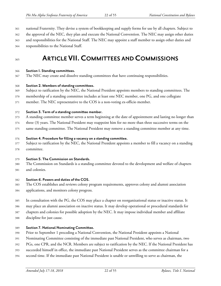national Fraternity. They devise a system of bookkeeping and supply forms for use by all chapters. Subject to

- the approval of the NEC, they plan and execute the National Convention. The NEC may assign other duties
- and responsibilities for the National Staff. The NEC may appoint a staff member to assign other duties and
- responsibilities to the National Staff.

## <span id="page-21-0"></span>**ARTICLE VII.COMMITTEES AND COMMISSIONS**

#### <span id="page-21-1"></span>**Section 1. Standing committees.**

The NEC may create and dissolve standing committees that have continuing responsibilities.

#### <span id="page-21-2"></span>**Section 2. Members of standing committees.**

- Subject to ratification by the NEC, the National President appoints members to standing committees. The
- membership of a standing committee includes at least one NEC member, one PG, and one collegiate
- member. The NEC representative to the COS is a non-voting ex-officio member.

#### <span id="page-21-3"></span>**Section 3. Term ofastanding committee member.**

- A standing committee member serves a term beginning at the date of appointment and lasting no longer than
- three (3) years. The National President may reappoint him for no more than three successive terms on the
- same standing committee. The National President may remove a standing committee member at any time.

#### <span id="page-21-4"></span>**Section 4. Procedure for filling avacancy on astanding committee.**

- Subject to ratification by the NEC, the National President appoints a member to fill a vacancy on a standing
- committee.

#### <span id="page-21-5"></span>**Section 5. The Commission on Standards.**

- The Commission on Standards is a standing committee devoted to the development and welfare of chapters
- and colonies.

#### <span id="page-21-6"></span>**Section 6. Powersand duties of the COS.**

- The COS establishes and reviews colony program requirements, approves colony and alumni association
- applications, and monitors colony progress.
- In consultation with the PG, the COS may place a chapter on reorganizational status or inactive status. It
- may place an alumni association on inactive status. It may develop operational or procedural standards for
- chapters and colonies for possible adoption by the NEC. It may impose individual member and affiliate
- discipline for just cause.

#### <span id="page-21-7"></span>**Section 7. National Nominating Committee.**

- Prior to September 1 preceding a National Convention, the National President appoints a National
- Nominating Committee consisting of the immediate past National President, who serves as chairman, two
- PGs, one CPR, and the NCR. Members are subject to ratification by the NEC. If the National President has
- succeeded himself in office, the immediate past National President serves as the committee chairman for a
- second time. If the immediate past National President is unable or unwilling to serve as chairman, the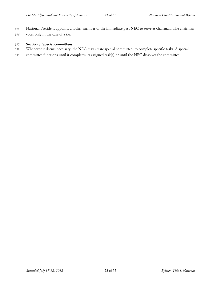National President appoints another member of the immediate past NEC to serve as chairman. The chairman votes only in the case of a tie.

#### <span id="page-22-0"></span>**Section 8. Special committees.**

- Whenever it deems necessary, the NEC may create special committees to complete specific tasks. A special
- committee functions until it completes its assigned task(s) or until the NEC dissolves the committee.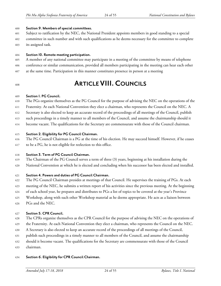#### <span id="page-23-0"></span>**Section 9. Members of special committees.**

- Subject to ratification by the NEC, the National President appoints members in good standing to a special
- committee in such number and with such qualifications as he deems necessary for the committee to complete its assigned task.

#### <span id="page-23-1"></span>**Section 10. Remote meeting participation.**

- A member of any national committee may participate in a meeting of the committee by means of telephone
- conference or similar communication, provided all members participating in the meeting can hear each other
- at the same time. Participation in this manner constitutes presence in person at a meeting
- 

### <span id="page-23-2"></span>**ARTICLE VIII.COUNCILS**

#### <span id="page-23-3"></span>**Section 1. PG Council.**

- The PGs organize themselves as the PG Council for the purpose of advising the NEC on the operations of the
- Fraternity. At each National Convention they elect a chairman, who represents the Council on the NEC. A
- Secretary is also elected to keep an accurate record of the proceedings of all meetings of the Council, publish
- such proceedings in a timely manner to all members of the Council, and assume the chairmanship should it
- become vacant. The qualifications for the Secretary are commensurate with those of the Council chairman.

#### <span id="page-23-4"></span>**Section 2. Eligibility for PG Council Chairman.**

 The PG Council Chairman is a PG at the time of his election. He may succeed himself. However, if he ceases to be a PG, he is not eligible for reelection to this office.

#### <span id="page-23-5"></span>**Section 3. Term of PG Council Chairman.**

- The Chairman of the PG Council serves a term of three (3) years, beginning at his installation during the
- National Convention at which he is elected and concluding when his successor has been elected and installed.

#### <span id="page-23-6"></span>**Section 4. Powers and duties of PG Council Chairman.**

- The PG Council Chairman presides at meetings of that Council. He supervises the training of PGs. At each
- meeting of the NEC, he submits a written report of his activities since the previous meeting. At the beginning
- of each school year, he prepares and distributes to PGs a list of topics to be covered at the year's Province
- Workshop, along with such other Workshop material as he deems appropriate. He acts as a liaison between
- PGs and the NEC.

#### <span id="page-23-7"></span>**Section 5. CPR Council.**

- The CPRs organize themselves as the CPR Council for the purpose of advising the NEC on the operations of
- the Fraternity. At each National Convention they elect a chairman, who represents the Council on the NEC.
- A Secretary is also elected to keep an accurate record of the proceedings of all meetings of the Council,
- publish such proceedings in a timely manner to all members of the Council, and assume the chairmanship
- should it become vacant. The qualifications for the Secretary are commensurate with those of the Council
- chairman.

#### <span id="page-23-8"></span>**Section 6. Eligibility for CPR Council Chairman.**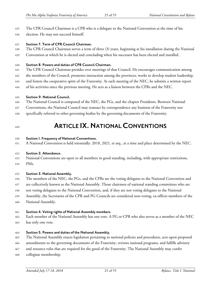The CPR Council Chairman is a CPR who is a delegate to the National Convention at the time of his

election. He may not succeed himself.

#### <span id="page-24-0"></span>**Section 7. Term of CPR Council Chairman.**

- The CPR Council Chairman serves a term of three (3) years, beginning at his installation during the National
- Convention at which he is elected and concluding when his successor has been elected and installed.

#### <span id="page-24-1"></span>**Section 8. Powersand duties of CPR Council Chairman.**

- The CPR Council Chairman presides over meetings of that Council. He encourages communication among
- 442 the members of the Council, promotes interaction among the provinces, works to develop student leadership,
- and fosters the cooperative spirit of the Fraternity. At each meeting of the NEC, he submits a written report
- of his activities since the previous meeting. He acts as a liaison between the CPRs and the NEC.

### <span id="page-24-2"></span>**Section 9. National Council.**

- The National Council is composed of the NEC, the PGs, and the chapter Presidents. Between National
- Conventions, the National Council may transact by correspondence any business of the Fraternity not
- specifically referred to other governing bodies by the governing documents of the Fraternity.
- 

## <span id="page-24-3"></span>**ARTICLE IX.NATIONALCONVENTIONS**

#### <span id="page-24-4"></span>**Section 1. Frequency of National Conventions.**

A National Convention is held triennially: 2018, 2021, et seq., at a time and place determined by the NEC.

### <span id="page-24-5"></span>**Section 2. Attendance.**

- National Conventions are open to all members in good standing, including, with appropriate restrictions,
- PMs.

### <span id="page-24-6"></span>**Section 3. National Assembly.**

- The members of the NEC, the PGs, and the CPRs are the voting delegates to the National Convention and
- are collectively known as the National Assembly. Those chairmen of national standing committees who are
- not voting delegates to the National Convention, and, if they are not voting delegates to the National
- Assembly, the Secretaries of the CPR and PG Councils are considered non-voting, ex-officio members of the
- National Assembly.

### <span id="page-24-7"></span>**Section 4. Voting rights of National Assembly members.**

- Each member of the National Assembly has one vote. A PG or CPR who also serves as a member of the NEC
- has only one vote.

### <span id="page-24-8"></span>**Section 5. Powersand duties of the National Assembly.**

- The National Assembly enacts legislation pertaining to national policies and procedures, acts upon proposed
- amendments to the governing documents of the Fraternity, reviews national programs, and fulfills advisory
- and resource roles that are required for the good of the Fraternity. The National Assembly may confer
- collegiate membership.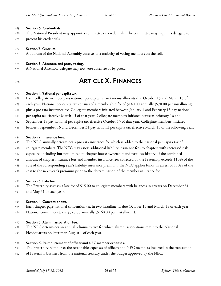### <span id="page-25-0"></span>**Section 6. Credentials.**

- The National President may appoint a committee on credentials. The committee may require a delegate to
- present his credentials.

### <span id="page-25-1"></span>**Section 7. Quorum.**

A quorum of the National Assembly consists of a majority of voting members on the roll.

### <span id="page-25-2"></span>**Section 8. Absentee and proxy voting.**

A National Assembly delegate may not vote absentee or by proxy.

### <span id="page-25-3"></span>**ARTICLE X. FINANCES**

#### <span id="page-25-4"></span>**Section 1. National percapitatax.**

- Each collegiate member pays national per capita tax in two installments due October 15 and March 15 of
- each year. National per capita tax consists of a membership fee of \$140.00 annually (\$70.00 per installment)
- plus a pro rata insurance fee. Collegiate members initiated between January 1 and February 15 pay national
- per capita tax effective March 15 of that year. Collegiate members initiated between February 16 and
- September 15 pay national per capita tax effective October 15 of that year. Collegiate members initiated
- between September 16 and December 31 pay national per capita tax effective March 15 of the following year.

#### <span id="page-25-5"></span>**Section 2. Insurance fees.**

- The NEC annually determines a pro rata insurance fee which is added to the national per capita tax of
- collegiate members. The NEC may assess additional liability insurance fees to chapters with increased risk
- exposure, including but not limited to chapter house ownership and past loss history. If the combined
- amount of chapter insurance fees and member insurance fees collected by the Fraternity exceeds 110% of the
- cost of the corresponding year's liability insurance premium, the NEC applies funds in excess of 110% of the
- cost to the next year's premium prior to the determination of the member insurance fee.

#### <span id="page-25-6"></span>**Section 3. Late fee.**

 The Fraternity assesses a late fee of \$15.00 to collegiate members with balances in arrears on December 31 and May 31 of each year.

#### <span id="page-25-7"></span>**Section 4. Convention tax.**

- Each chapter pays national convention tax in two installments due October 15 and March 15 of each year.
- National convention tax is \$320.00 annually (\$160.00 per installment).

#### <span id="page-25-8"></span>**Section 5. Alumniassociation fee.**

- The NEC determines an annual administrative fee which alumni associations remit to the National
- Headquarters no later than August 1 of each year.

#### <span id="page-25-9"></span>**Section 6. Reimbursement of officerand NEC member expenses.**

- The Fraternity reimburses the reasonable expenses of officers and NEC members incurred in the transaction
- of Fraternity business from the national treasury under the budget approved by the NEC.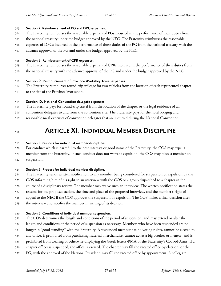#### <span id="page-26-0"></span>**Section 7. Reimbursement of PG and DPG expenses.**

- The Fraternity reimburses the reasonable expenses of PGs incurred in the performance of their duties from
- the national treasury under the budget approved by the NEC. The Fraternity reimburses the reasonable
- expenses of DPGs incurred in the performance of those duties of the PG from the national treasury with the
- advance approval of the PG and under the budget approved by the NEC.

#### <span id="page-26-1"></span>**Section 8. Reimbursement of CPR expenses.**

- The Fraternity reimburses the reasonable expenses of CPRs incurred in the performance of their duties from
- the national treasury with the advance approval of the PG and under the budget approved by the NEC.

#### <span id="page-26-2"></span>**Section 9. Reimbursement of Province Workshop travel expenses.**

- The Fraternity reimburses round-trip mileage for two vehicles from the location of each represented chapter
- to the site of the Province Workshop.

#### <span id="page-26-3"></span>**Section 10. National Convention delegate expenses.**

- The Fraternity pays for round-trip travel from the location of the chapter or the legal residence of all
- convention delegates to and from the convention site. The Fraternity pays for the hotel lodging and
- reasonable meal expenses of convention delegates that are incurred during the National Convention.

### <span id="page-26-4"></span>**ARTICLE XI. INDIVIDUALMEMBERDISCIPLINE**

#### <span id="page-26-5"></span>**Section 1. Reasons for individual member discipline.**

- For conduct which is harmful to the best interests or good name of the Fraternity, the COS may expel a
- member from the Fraternity. If such conduct does not warrant expulsion, the COS may place a member on
- suspension.

#### <span id="page-26-6"></span>**Section 2. Process for individual member discipline.**

- The Fraternity sends written notification to any member being considered for suspension or expulsion by the
- COS informing him of his right to an interview with the COS or a group dispatched to a chapter in the
- course of a disciplinary review. The member may waive such an interview. The written notification states the
- reasons for the proposed action, the time and place of the proposed interview, and the member's right of
- appeal to the NEC if the COS approves the suspension or expulsion. The COS makes a final decision after
- the interview and notifies the member in writing of its decision.

#### <span id="page-26-7"></span>**Section 3. Conditions of individual member suspension.**

- The COS determines the length and conditions of the period of suspension, and may extend or alter the
- length and conditions of the period of suspension as necessary. Members who have been suspended are no
- longer in "good standing" with the Fraternity. A suspended member has no voting rights, cannot be elected to
- any office, is prohibited from purchasing fraternal merchandise, cannot act as a big brother or mentor, and is
- 535 prohibited from wearing or otherwise displaying the Greek letters ΦΜΑ or the Fraternity's Coat-of-Arms. If a
- chapter officer is suspended, the office is vacated. The chapter may fill the vacated office by election, or the
- PG, with the approval of the National President, may fill the vacated office by appointment. A collegiate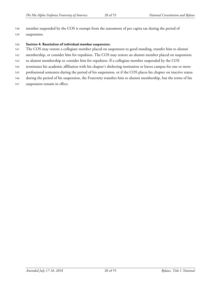member suspended by the COS is exempt from the assessment of per capita tax during the period of suspension.

#### <span id="page-27-0"></span>**Section 4. Resolution of individual member suspension.**

- The COS may restore a collegiate member placed on suspension to good standing, transfer him to alumni
- membership, or consider him for expulsion. The COS may restore an alumni member placed on suspension
- to alumni membership or consider him for expulsion. If a collegiate member suspended by the COS
- terminates his academic affiliation with his chapter's sheltering institution or leaves campus for one or more
- professional semesters during the period of his suspension, or if the COS places his chapter on inactive status
- during the period of his suspension, the Fraternity transfers him to alumni membership, but the terms of his
- suspension remain in effect.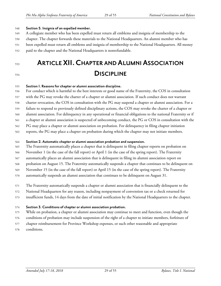#### <span id="page-28-0"></span>**Section 5. Insignia ofan expelled member.**

- A collegiate member who has been expelled must return all emblems and insignia of membership to the
- chapter. The chapter forwards these materials to the National Headquarters. An alumni member who has
- been expelled must return all emblems and insignia of membership to the National Headquarters. All money
- paid to the chapter and the National Headquarters is nonrefundable.
- 

## <span id="page-28-1"></span> **ARTICLE XII.CHAPTER AND ALUMNI ASSOCIATION DISCIPLINE**

#### <span id="page-28-2"></span>**Section 1. Reasons forchapter oralumniassociation discipline.**

For conduct which is harmful to the best interests or good name of the Fraternity, the COS in consultation

with the PG may revoke the charter of a chapter or alumni association. If such conduct does not warrant

charter revocation, the COS in consultation with the PG may suspend a chapter or alumni association. For a

- failure to respond to previously defined disciplinary actions, the COS may revoke the charter of a chapter or
- alumni association. For delinquency in any operational or financial obligations to the national Fraternity or if
- a chapter or alumni association is suspected of unbecoming conduct, the PG or COS in consultation with the
- PG may place a chapter or alumni association on probation. For delinquency in filing chapter initiation
- reports, the PG may place a chapter on probation during which the chapter may not initiate members.

#### <span id="page-28-3"></span>**Section 2. Automaticchapter oralumniassociation probation and suspension.**

- The Fraternity automatically places a chapter that is delinquent in filing chapter reports on probation on
- November 1 (in the case of the fall report) or April 1 (in the case of the spring report). The Fraternity
- automatically places an alumni association that is delinquent in filing its alumni association report on
- probation on August 15. The Fraternity automatically suspends a chapter that continues to be delinquent on
- November 15 (in the case of the fall report) or April 15 (in the case of the spring report). The Fraternity
- automatically suspends an alumni association that continues to be delinquent on August 31.
- The Fraternity automatically suspends a chapter or alumni association that is financially delinquent to the
- National Headquarters for any reason, including nonpayment of convention tax or a check returned for
- insufficient funds, 14 days from the date of initial notification by the National Headquarters to the chapter.

#### <span id="page-28-4"></span>**Section 3. Conditions ofchapter oralumniassociation probation.**

- While on probation, a chapter or alumni association may continue to meet and function, even though the
- conditions of probation may include suspension of the right of a chapter to initiate members, forfeiture of
- chapter reimbursement for Province Workshop expenses, or such other reasonable and appropriate
- conditions.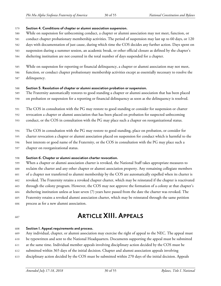#### <span id="page-29-0"></span>**Section 4. Conditions ofchapter oralumniassociation suspension.**

- While on suspension for unbecoming conduct, a chapter or alumni association may not meet, function, or
- conduct chapter probationary membership activities. The period of suspension may last up to 60 days, or 120
- days with documentation of just cause, during which time the COS decides any further action. Days spent on
- suspension during a summer session, an academic break, or other official closure as defined by the chapter's
- sheltering institution are not counted in the total number of days suspended for a chapter.
- While on suspension for reporting or financial delinquency, a chapter or alumni association may not meet,
- function, or conduct chapter probationary membership activities except as essentially necessary to resolve the
- delinquency.

#### <span id="page-29-1"></span>**Section 5. Resolution ofchapter oralumniassociation probation or suspension.**

- The Fraternity automatically restores to good standing a chapter or alumni association that has been placed on probation or suspension for a reporting or financial delinquency as soon as the delinquency is resolved.
- The COS in consultation with the PG may restore to good standing or consider for suspension or charter

revocation a chapter or alumni association that has been placed on probation for suspected unbecoming

- conduct, or the COS in consultation with the PG may place such a chapter on reorganizational status.
- The COS in consultation with the PG may restore to good standing, place on probation, or consider for
- charter revocation a chapter or alumni association placed on suspension for conduct which is harmful to the
- best interests or good name of the Fraternity, or the COS in consultation with the PG may place such a
- chapter on reorganizational status.

#### <span id="page-29-2"></span>**Section 6. Chapter oralumniassociation charter revocation.**

- When a chapter or alumni association charter is revoked, the National Staff takes appropriate measures to reclaim the charter and any other chapter or alumni association property. Any remaining collegiate members of a chapter not transferred to alumni membership by the COS are automatically expelled when its charter is revoked. The Fraternity retains a revoked chapter charter, which may be reinstated if the chapter is reactivated through the colony program. However, the COS may not approve the formation of a colony at that chapter's sheltering institution unless at least seven (7) years have passed from the date the charter was revoked. The Fraternity retains a revoked alumni association charter, which may be reinstated through the same petition
- process as for a new alumni association.

### <span id="page-29-3"></span>**ARTICLE XIII. APPEALS**

#### <span id="page-29-4"></span>**Section 1. Appeal requirements and process.**

- Any individual, chapter, or alumni association may exercise the right of appeal to the NEC. The appeal must
- be typewritten and sent to the National Headquarters. Documents supporting the appeal must be submitted
- at the same time. Individual member appeals involving disciplinary action decided by the COS must be
- submitted within 365 days of the initial decision. Chapter and alumni association appeals involving
- disciplinary action decided by the COS must be submitted within 270 days of the initial decision. Appeals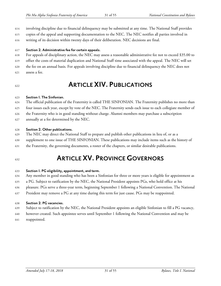- involving discipline due to financial delinquency may be submitted at any time. The National Staff provides
- copies of the appeal and supporting documentation to the NEC. The NEC notifies all parties involved in writing of its decision within twenty days of their deliberation. NEC decisions are final.
- <span id="page-30-0"></span>**Section 2. Administrative fee for certain appeals.**
- For appeals of disciplinary action, the NEC may assess a reasonable administrative fee not to exceed \$35.00 to
- offset the costs of material duplication and National Staff time associated with the appeal. The NEC will set
- the fee on an annual basis. For appeals involving discipline due to financial delinquency the NEC does not
- assess a fee.

### <span id="page-30-1"></span>**ARTICLE XIV. PUBLICATIONS**

#### <span id="page-30-2"></span>**Section 1. The Sinfonian.**

- The official publication of the Fraternity is called THE SINFONIAN. The Fraternity publishes no more than
- four issues each year, except by vote of the NEC. The Fraternity sends each issue to each collegiate member of
- the Fraternity who is in good standing without charge. Alumni members may purchase a subscription
- annually at a fee determined by the NEC.

### <span id="page-30-3"></span>**Section 2. Other publications.**

- The NEC may direct the National Staff to prepare and publish other publications in lieu of, or as a
- supplement to one issue of THE SINFONIAN. These publications may include items such as the history of
- the Fraternity, the governing documents, a roster of the chapters, or similar desirable publications.
- 

### <span id="page-30-4"></span>**ARTICLE XV. PROVINCEGOVERNORS**

#### <span id="page-30-5"></span>**Section 1. PG eligibility,appointment,and term.**

- Any member in good standing who has been a Sinfonian for three or more years is eligible for appointment as
- a PG. Subject to ratification by the NEC, the National President appoints PGs, who hold office at his
- pleasure. PGs serve a three-year term, beginning September 1 following a National Convention. The National
- President may remove a PG at any time during this term for just cause. PGs may be reappointed.

### <span id="page-30-6"></span>**Section 2. PG vacancies.**

- Subject to ratification by the NEC, the National President appoints an eligible Sinfonian to fill a PG vacancy,
- however created. Such appointee serves until September 1 following the National Convention and may be
- reappointed.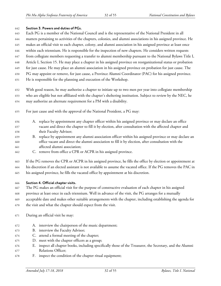#### <span id="page-31-0"></span>**Section 3. Powersand duties of PGs.**

- Each PG is a member of the National Council and is the representative of the National President in all
- matters pertaining to activities of the chapters, colonies, and alumni associations in his assigned province. He
- makes an official visit to each chapter, colony, and alumni association in his assigned province at least once
- within each triennium. He is responsible for the inspection of new chapters. He considers written requests
- from collegiate members requesting a transfer to alumni membership pursuant to the National Bylaws Title I,
- Article I, Section 15. He may place a chapter in his assigned province on reorganizational status or probation for just cause. He may place an alumni association in his assigned province on probation for just cause. The
- PG may appoint or remove, for just cause, a Province Alumni Coordinator (PAC) for his assigned province.
- He is responsible for the planning and execution of the Workshop.
- With good reason, he may authorize a chapter to initiate up to two men per year into collegiate membership
- who are eligible but not affiliated with the chapter's sheltering institution. Subject to review by the NEC, he
- may authorize an alternate requirement for a PM with a disability.
- For just cause and with the approval of the National President, a PG may:
- A. replace by appointment any chapter officer within his assigned province or may declare an office vacant and direct the chapter to fill it by election, after consultation with the affected chapter and their Faculty Advisor;
- B. replace by appointment any alumni association officer within his assigned province or may declare an office vacant and direct the alumni association to fill it by election, after consultation with the affected alumni association;
- C. remove from office a CPR or ACPR in his assigned province.

If the PG removes the CPR or ACPR in his assigned province, he fills the office by election or appointment at

his discretion if an elected assistant is not available to assume the vacated office. If the PG removes the PAC in

- his assigned province, he fills the vacated office by appointment at his discretion.
- <span id="page-31-1"></span>**Section 4. Officialchapter visits.**
- The PG makes an official visit for the purpose of constructive evaluation of each chapter in his assigned
- province at least once in each triennium. Well in advance of the visit, the PG arranges for a mutually
- acceptable date and makes other suitable arrangements with the chapter, including establishing the agenda for
- the visit and what the chapter should expect from the visit.
- During an official visit he may:
- A. interview the chairperson of the music department;
- B. interview the Faculty Advisor;
- C. attend a formal meeting of the chapter;
- D. meet with the chapter officers as a group;
- E. inspect all chapter books, including specifically those of the Treasurer, the Secretary, and the Alumni Relations Officer;
- F. inspect the condition of the chapter ritual equipment;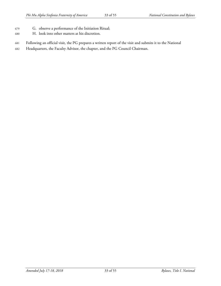- G. observe a performance of the Initiation Ritual;
- H. look into other matters at his discretion.
- Following an official visit, the PG prepares a written report of the visit and submits it to the National
- Headquarters, the Faculty Advisor, the chapter, and the PG Council Chairman.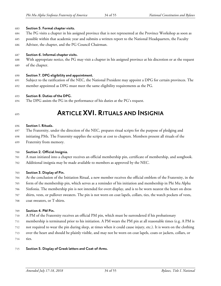#### <span id="page-33-0"></span>**Section 5. Formalchaptervisits.**

- The PG visits a chapter in his assigned province that is not represented at the Province Workshop as soon as
- possible within that academic year and submits a written report to the National Headquarters, the Faculty
- Advisor, the chapter, and the PG Council Chairman.

#### <span id="page-33-1"></span>**Section 6. Informalchapter visits.**

 With appropriate notice, the PG may visit a chapter in his assigned province at his discretion or at the request of the chapter.

#### <span id="page-33-2"></span>**Section 7. DPG eligibilityand appointment.**

 Subject to the ratification of the NEC, the National President may appoint a DPG for certain provinces. The member appointed as DPG must meet the same eligibility requirements as the PG.

#### <span id="page-33-3"></span>**Section 8. Duties of the DPG.**

- The DPG assists the PG in the performance of his duties at the PG's request.
- 

### <span id="page-33-4"></span>**ARTICLE XVI. RITUALS AND INSIGNIA**

#### <span id="page-33-5"></span>**Section 1. Rituals.**

- The Fraternity, under the direction of the NEC, prepares ritual scripts for the purpose of pledging and
- initiating PMs. The Fraternity supplies the scripts at cost to chapters. Members present all rituals of the Fraternity from memory.

#### <span id="page-33-6"></span>**Section 2. Official Insignia.**

- A man initiated into a chapter receives an official membership pin, certificate of membership, and songbook.
- Additional insignia may be made available to members as approved by the NEC.

#### <span id="page-33-7"></span>**Section 3. Display of Pin.**

- At the conclusion of the Initiation Ritual, a new member receives the official emblem of the Fraternity, in the
- form of the membership pin, which serves as a reminder of his initiation and membership in Phi Mu Alpha
- Sinfonia. The membership pin is not intended for overt display, and is to be worn nearest the heart on dress
- shirts, vests, or pullover sweaters. The pin is not worn on coat lapels, collars, ties, the watch pockets of vests,
- coat sweaters, or T-shirts.

#### <span id="page-33-8"></span>**Section 4. PM Pin.**

- A PM of the Fraternity receives an official PM pin, which must be surrendered if his probationary
- membership is terminated prior to his initiation. A PM wears the PM pin at all reasonable times (e.g. A PM is
- not required to wear the pin during sleep, at times when it could cause injury, etc.). It is worn on the clothing
- over the heart and should be plainly visible, and may not be worn on coat lapels, coats or jackets, collars, or
- ties.

#### <span id="page-33-9"></span>**Section 5. Display of Greek lettersand Coat-of-Arms.**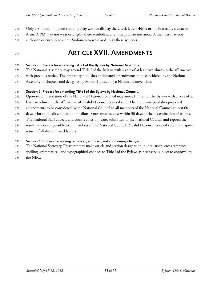- Only a Sinfonian in good standing may wear or display the Greek letters ΦMA or the Fraternity's Coat-of-
- Arms. A PM may not wear or display these symbols at any time prior to initiation. A member may not
- authorize or encourage a non-Sinfonian to wear or display these symbols.

### <span id="page-34-0"></span>**ARTICLE XVII. AMENDMENTS**

#### <span id="page-34-1"></span>**Section 1. Process foramending Title I of the Bylaws by National Assembly.**

The National Assembly may amend Title I of the Bylaws with a vote of at least two-thirds in the affirmative

with previous notice. The Fraternity publishes anticipated amendments to be considered by the National

Assembly to chapters and delegates by March 1 preceding a National Convention.

### <span id="page-34-2"></span>**Section 2. Process foramending Title I of the Bylaws by National Council.**

Upon recommendation of the NEC, the National Council may amend Title I of the Bylaws with a vote of at

least two-thirds in the affirmative of a valid National Council vote. The Fraternity publishes proposed

amendments to be considered by the National Council to all members of the National Council at least 60

days prior to the dissemination of ballots. Votes must be cast within 30 days of the dissemination of ballots.

The National Staff collects and counts votes on issues submitted to the National Council and reports the

results as soon as possible to all members of the National Council. A valid National Council vote is a majority

return of all disseminated ballots.

### <span id="page-34-3"></span>**Section 3. Process for making technical, editorial,and conforming changes.**

The National Secretary-Treasurer may make article and section designation, punctuation, cross reference,

spelling, grammatical, and typographical changes to Title I of the Bylaws as necessary, subject to approval by

the NEC.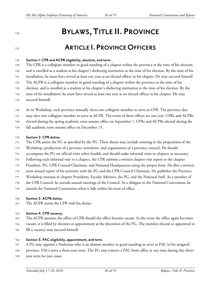## <span id="page-35-0"></span>**BYLAWS, TITLE II. PROVINCE**

### <span id="page-35-1"></span>**ARTICLE I. PROVINCEOFFICERS**

#### <span id="page-35-2"></span>**Section 1. CPR and ACPR eligibility, election,and term.**

 The CPR is a collegiate member in good standing of a chapter within the province at the time of his election, and is enrolled as a student at his chapter's sheltering institution at the time of his election. By the time of his installation, he must have served at least one year as an elected officer in his chapter. He may succeed himself. The ACPR is a collegiate member in good standing of a chapter within the province at the time of his election, and is enrolled as a student at his chapter's sheltering institution at the time of his election. By the time of his installation, he must have served at least one year as an elected officer in his chapter. He may

succeed himself.

At its Workshop, each province annually elects one collegiate member to serve as CPR. The province also

may elect one collegiate member to serve as ACPR. The terms of these offices are one year. CPRs and ACPRs

elected during the spring academic term assume office on September 1. CPRs and ACPRs elected during the

fall academic term assume office on December 15.

#### <span id="page-35-3"></span>**Section 2. CPR duties.**

- The CPR assists the PG as specified by the PG. These duties may include assisting in the preparation of the
- Workshop, production of a province newsletter, and organization of a province council. He should
- accompany the PG on official visits when feasible and should make informal visits to chapters as necessary.
- Following each informal visit to a chapter, the CPR submits a written chapter visit report to the chapter
- President, PG, CPR Council Chairman, and National Headquarters using the proper form. He files a written,
- semi-annual report of his activities with the PG and the CPR Council Chairman. He publishes the Province
- Workshop minutes to chapter Presidents, Faculty Advisors, the PG, and the National Staff. As a member of
- the CPR Council, he attends annual meetings of the Council. As a delegate to the National Convention, he
- attends the National Convention when it falls within his term of office.

#### <span id="page-35-4"></span>**Section 3. ACPR duties.**

The ACPR assists the CPR with his duties.

#### <span id="page-35-5"></span>**Section 4. CPR vacancy.**

- The ACPR assumes the office of CPR should the office become vacant. In the event the office again becomes
- vacant, it is filled by election or appointment at the discretion of the PG. The member elected or appointed to
- fill a vacancy may succeed himself.

#### <span id="page-35-6"></span>**Section 5. PAC eligibility,appointment,and term.**

- A PG may appoint a Sinfonian who is an alumni member in good standing to serve as PAC in his assigned
- province. PACs serve a three-year term. The PG may remove a PAC from office at any time during this three-
- year term for just cause.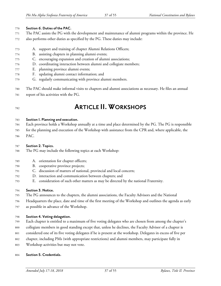#### <span id="page-36-0"></span>**Section 6. Duties of the PAC.**

- The PAC assists the PG with the development and maintenance of alumni programs within the province. He
- also performs other duties as specified by the PG. These duties may include:
- A. support and training of chapter Alumni Relations Officers;
- B. assisting chapters in planning alumni events;
- C. encouraging expansion and creation of alumni associations;
- D. coordinating interaction between alumni and collegiate members;
- E. planning province alumni events;
- F. updating alumni contact information; and
- G. regularly communicating with province alumni members.
- The PAC should make informal visits to chapters and alumni associations as necessary. He files an annual
- report of his activities with the PG.

### <span id="page-36-1"></span>**ARTICLE II.WORKSHOPS**

#### <span id="page-36-2"></span>**Section 1. Planning and execution.**

- Each province holds a Workshop annually at a time and place determined by the PG. The PG is responsible
- for the planning and execution of the Workshop with assistance from the CPR and, where applicable, the
- PAC.

### <span id="page-36-3"></span>**Section 2. Topics.**

- The PG may include the following topics at each Workshop:
- A. orientation for chapter officers;
- B. cooperative province projects;
- C. discussion of matters of national, provincial and local concern;
- D. interaction and communication between chapters; and
- E. consideration of such other matters as may be directed by the national Fraternity.

#### <span id="page-36-4"></span>**Section 3. Notice.**

- The PG announces to the chapters, the alumni associations, the Faculty Advisors and the National
- Headquarters the place, date and time of the first meeting of the Workshop and outlines the agenda as early
- as possible in advance of the Workshop.

#### <span id="page-36-5"></span>**Section 4. Voting delegation.**

- Each chapter is entitled to a maximum of five voting delegates who are chosen from among the chapter's
- collegiate members in good standing except that, unless he declines, the Faculty Advisor of a chapter is
- considered one of its five voting delegates if he is present at the workshop. Delegates in excess of five per
- chapter, including PMs (with appropriate restrictions) and alumni members, may participate fully in
- Workshop activities but may not vote.

#### <span id="page-36-6"></span>**Section 5. Credentials.**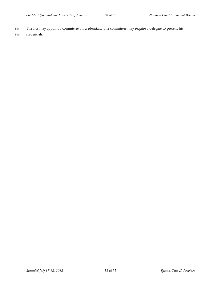805 The PG may appoint a committee on credentials. The committee may require a delegate to present his 806 credentials.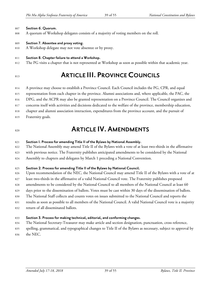#### <span id="page-38-0"></span>**Section 6. Quorum.**

A quorum of Workshop delegates consists of a majority of voting members on the roll.

#### <span id="page-38-1"></span>**Section 7. Absentee and proxy voting.**

A Workshop delegate may not vote absentee or by proxy.

#### <span id="page-38-2"></span>**Section 8. Chapter failure to attend a Workshop.**

The PG visits a chapter that is not represented at Workshop as soon as possible within that academic year.

### <span id="page-38-3"></span>**ARTICLE III. PROVINCECOUNCILS**

A province may choose to establish a Province Council. Each Council includes the PG, CPR, and equal

representation from each chapter in the province. Alumni associations and, where applicable, the PAC, the

DPG, and the ACPR may also be granted representation on a Province Council. The Council organizes and

- concerns itself with activities and decisions dedicated to the welfare of the province, membership education,
- chapter and alumni association interaction, expenditures from the province account, and the pursuit of
- Fraternity goals.

### <span id="page-38-4"></span>**ARTICLE IV. AMENDMENTS**

#### <span id="page-38-5"></span>**Section 1. Process foramending Title II of the Bylaws by National Assembly.**

- The National Assembly may amend Title II of the Bylaws with a vote of at least two-thirds in the affirmative
- with previous notice. The Fraternity publishes anticipated amendments to be considered by the National
- Assembly to chapters and delegates by March 1 preceding a National Convention.

#### <span id="page-38-6"></span>**Section 2. Process foramending Title II of the Bylaws by National Council.**

- Upon recommendation of the NEC, the National Council may amend Title II of the Bylaws with a vote of at
- least two-thirds in the affirmative of a valid National Council vote. The Fraternity publishes proposed
- amendments to be considered by the National Council to all members of the National Council at least 60
- days prior to the dissemination of ballots. Votes must be cast within 30 days of the dissemination of ballots.
- The National Staff collects and counts votes on issues submitted to the National Council and reports the
- results as soon as possible to all members of the National Council. A valid National Council vote is a majority
- return of all disseminated ballots.

#### <span id="page-38-7"></span>**Section 3. Process for making technical, editorial,and conforming changes.**

- The National Secretary-Treasurer may make article and section designation, punctuation, cross reference,
- spelling, grammatical, and typographical changes to Title II of the Bylaws as necessary, subject to approval by
- the NEC.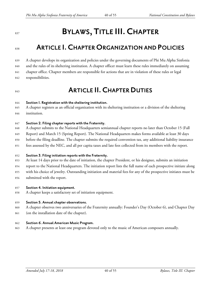## <span id="page-39-0"></span>**BYLAWS, TITLE III.CHAPTER**

### <span id="page-39-1"></span>**ARTICLE I.CHAPTERORGANIZATION AND POLICIES**

 A chapter develops its organization and policies under the governing documents of Phi Mu Alpha Sinfonia and the rules of its sheltering institution. A chapter officer must learn these rules immediately on assuming chapter office. Chapter members are responsible for actions that are in violation of these rules or legal responsibilities.

### <span id="page-39-2"></span>**ARTICLE II.CHAPTERDUTIES**

#### <span id="page-39-3"></span>**Section 1. Registration with the sheltering institution.**

- A chapter registers as an official organization with its sheltering institution or a division of the sheltering
- institution.

#### <span id="page-39-4"></span>**Section 2. Filing chapter reports with the Fraternity.**

- A chapter submits to the National Headquarters semiannual chapter reports no later than October 15 (Fall
- Report) and March 15 (Spring Report). The National Headquarters makes forms available at least 30 days
- before the filing deadline. The chapter submits the required convention tax, any additional liability insurance
- fees assessed by the NEC, and all per capita taxes and late fees collected from its members with the report.

#### <span id="page-39-5"></span>**Section 3. Filing initiation reports with the Fraternity.**

- At least 14 days prior to the date of initiation, the chapter President, or his designee, submits an initiation
- report to the National Headquarters. The initiation report lists the full name of each prospective initiate along
- with his choice of jewelry. Outstanding initiation and material fees for any of the prospective initiates must be
- submitted with the report.

#### <span id="page-39-6"></span>**Section 4. Initiation equipment.**

A chapter keeps a satisfactory set of initiation equipment.

#### <span id="page-39-7"></span>**Section 5. Annualchapter observations.**

- A chapter observes two anniversaries of the Fraternity annually: Founder's Day (October 6), and Chapter Day
- (on the installation date of the chapter).

#### <span id="page-39-8"></span>**Section 6. Annual American Music Program.**

A chapter presents at least one program devoted only to the music of American composers annually.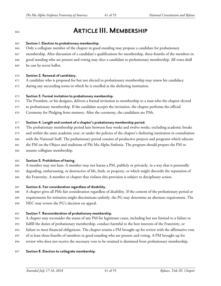### <span id="page-40-0"></span>**ARTICLE III. MEMBERSHIP**

#### <span id="page-40-1"></span>**Section 1. Election to probationary membership.**

- Only a collegiate member of the chapter in good standing may propose a candidate for probationary
- membership. After discussion of a candidate's qualifications for membership, three-fourths of the members in good standing who are present and voting may elect a candidate to probationary membership. All votes shall
- be cast by secret ballot.

#### <span id="page-40-2"></span>**Section 2. Renewal of candidacy.**

- A candidate who is proposed for but not elected to probationary membership may renew his candidacy
- during any succeeding terms in which he is enrolled at the sheltering institution.

#### <span id="page-40-3"></span>**Section 3. Formal invitation to probationary membership.**

- The President, or his designee, delivers a formal invitation to membership to a man who the chapter elected
- to probationary membership. If the candidate accepts the invitation, the chapter performs the official
- Ceremony for Pledging from memory. After the ceremony, the candidates are PMs.

#### <span id="page-40-4"></span>**Section 4. Length and content ofa chapter's probationary membership period.**

- The probationary membership period lasts between four weeks and twelve weeks, excluding academic breaks
- and within the same academic year, or under the policies of the chapter's sheltering institution in consultation
- with the National Staff. The probationary period consists of productive projects and programs which educate
- the PM on the Object and traditions of Phi Mu Alpha Sinfonia. The program should prepare the PM to
- assume collegiate membership.

#### <span id="page-40-5"></span>**Section 5. Prohibition of hazing.**

- A member may not haze. A member may not harass a PM, publicly or privately, in a way that is personally
- degrading, embarrassing, or destructive of life, limb, or property, or which might discredit the reputation of
- the Fraternity. A member or chapter that violates this provision is subject to disciplinary action.

### <span id="page-40-6"></span>**Section 6. Fairconsideration regardless of disability.**

- A chapter gives all PMs fair consideration regardless of disability. If the content of the probationary period or
- requirements for initiation might discriminate unfairly, the PG may determine an alternate requirement. The
- NEC may review the PG's decision on appeal.

### <span id="page-40-7"></span>**Section 7. Reconsideration of probationary membership.**

- A chapter may reconsider the status of any PM for legitimate cause, including but not limited to a failure to
- fulfill the duties of probationary membership, conduct harmful to the best interests of the Fraternity, or
- failure to meet financial obligations. The chapter retains a PM brought up for review with the affirmative vote
- of at least three-fourths of members in good standing who are present and voting. A PM brought up for
- review who does not receive the necessary vote to be retained is dismissed from probationary membership.

### <span id="page-40-8"></span>**Section 8. Election to collegiate membership.**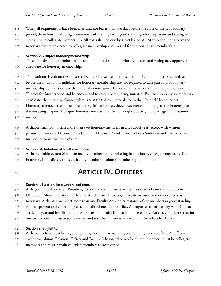- When all requirements have been met, and not fewer than two days before the close of the probationary
- period, three-fourths of collegiate members of the chapter in good standing who are present and voting may
- elect a PM to collegiate membership. All votes shall be cast by secret ballot. A PM who does not receive the
- necessary vote to be elected to collegiate membership is dismissed from probationary membership.

#### <span id="page-41-0"></span>**Section 9. Chapter honorary membership.**

- Three-fourths of the members of the chapter in good standing who are present and voting may approve a
- candidate for honorary membership.
- The National Headquarters must receive the PG's written endorsement of the initiation at least 14 days
- before the initiation. Candidates for honorary membership are not required to take part in probationary
- membership activities or take the national examination. They should, however, receive the publication
- Themes for Brotherhood and be encouraged to read it before being initiated. For each honorary membership
- candidate, the initiating chapter submits \$100.00 plus a materials fee to the National Headquarters.
- Honorary members are not required to pay initiation fees, dues, assessments, or money to the Fraternity or to
- the initiating chapter. A chapter honorary member has the same rights, duties, and privileges as an alumni
- member.
- A chapter may not initiate more than two honorary members in any school year, except with written
- permission from the National President. The National President may allow a Sinfonian to be an honorary
- member of more than one chapter.

#### <span id="page-41-1"></span>**Section 10. Initiation of faculty members.**

- A chapter initiates non-Sinfonian faculty members of its sheltering institution as collegiate members. The
- Fraternity immediately transfers faculty members to alumni membership upon initiation.
- 

## <span id="page-41-2"></span>**ARTICLE IV.OFFICERS**

#### <span id="page-41-3"></span>**Section 1. Election, installation,and term.**

A chapter annually elects a President, a Vice President, a Secretary, a Treasurer, a Fraternity Education

- Officer, an Alumni Relations Officer, a Warden, an Historian, a Faculty Advisor, and other officers as
- necessary. A chapter may elect more than one Faculty Advisor. A majority of the members in good standing
- who are present and voting may elect a qualified member to office. A chapter elects officers by April 1 of each
- academic year and installs them by May 1 using the official installation ceremony. An elected officer serves for
- one year or until his successor is elected and installed. There is no term limit for a Faculty Advisor.

### <span id="page-41-4"></span>**Section 2. Eligibility.**

- A chapter officer must be in good standing and must remain in good standing to keep office. All officers
- except the Alumni Relations Officer and Faculty Advisor, who may be alumni members, must be collegiate
- members and must remain collegiate members to keep office.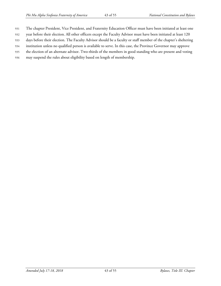- The chapter President, Vice President, and Fraternity Education Officer must have been initiated at least one
- year before their election. All other officers except the Faculty Advisor must have been initiated at least 120
- days before their election. The Faculty Advisor should be a faculty or staff member of the chapter's sheltering
- institution unless no qualified person is available to serve. In this case, the Province Governor may approve
- the election of an alternate advisor. Two-thirds of the members in good standing who are present and voting
- may suspend the rules about eligibility based on length of membership.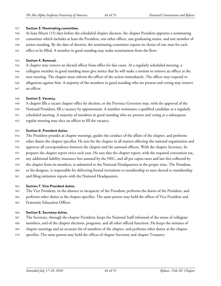#### <span id="page-43-0"></span>**Section 3. Nominating committee.**

- At least fifteen (15) days before the scheduled chapter election, the chapter President appoints a nominating
- committee which includes at least the President, one other officer, one graduating senior, and one member of
- junior standing. By the date of election, the nominating committee reports its choice of one man for each
- office to be filled. A member in good standing may make nominations from the floor.

#### <span id="page-43-1"></span>**Section 4. Removal.**

- A chapter may remove an elected officer from office for due cause. At a regularly scheduled meeting, a
- collegiate member in good standing must give notice that he will make a motion to remove an officer at the
- next meeting. The chapter must inform the officer of the action immediately. The officer may respond to
- allegations against him. A majority of the members in good standing who are present and voting may remove
- an officer.

#### <span id="page-43-2"></span>**Section 5. Vacancy.**

- A chapter fills a vacant chapter office by election, or the Province Governor may, with the approval of the
- National President, fill a vacancy by appointment. A member nominates a qualified candidate at a regularly
- scheduled meeting. A majority of members in good standing who are present and voting at a subsequent
- regular meeting may elect an officer to fill the vacancy.

#### <span id="page-43-3"></span>**Section 6. President duties.**

- The President presides at chapter meetings, guides the conduct of the affairs of the chapter, and performs
- other duties the chapter specifies. He acts for the chapter in all matters affecting the national organization and
- approves all correspondence between the chapter and the national officers. With the chapter Secretary, he
- prepares the chapter report twice each year. He sees that the chapter report, with the required convention tax,
- any additional liability insurance fees assessed by the NEC, and all per capita taxes and late fees collected by
- the chapter from its members, is submitted to the National Headquarters at the proper time. The President,
- or his designee, is responsible for delivering formal invitations to membership to men elected to membership
- and filing initiation reports with the National Headquarters.

#### <span id="page-43-4"></span>**Section 7. Vice President duties.**

- The Vice President, in the absence or incapacity of the President, performs the duties of the President, and
- performs other duties as the chapter specifies. The same person may hold the offices of Vice President and
- Fraternity Education Officer.

### <span id="page-43-5"></span>**Section 8. Secretary duties.**

- The Secretary, through the chapter President, keeps the National Staff informed of the status of collegiate
- members, and of the chapter elections, programs, and all other official functions. He keeps the minutes of
- chapter meetings and an accurate list of members of the chapter, and performs other duties as the chapter
- specifies. The same person may hold the offices of chapter Secretary and chapter Treasurer.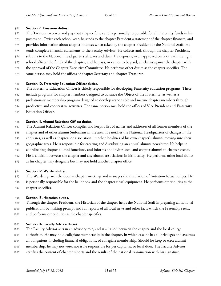#### <span id="page-44-0"></span>**Section 9. Treasurer duties.**

- The Treasurer receives and pays out chapter funds and is personally responsible for all Fraternity funds in his
- possession. Twice each school year, he sends to the chapter President a statement of the chapter finances, and
- provides information about chapter finances when asked by the chapter President or the National Staff. He
- sends complete financial statements to the Faculty Advisor. He collects and, through the chapter President,
- submits to the National Headquarters all taxes and dues. He deposits, in an approved bank or with the right
- school officer, the funds of the chapter, and he pays, or causes to be paid, all claims against the chapter with
- the approval of the Chapter Executive Committee. He performs other duties as the chapter specifies. The
- same person may hold the offices of chapter Secretary and chapter Treasurer.

### <span id="page-44-1"></span>**Section 10. Fraternity Education Officer duties.**

- The Fraternity Education Officer is chiefly responsible for developing Fraternity education programs. These
- include programs for chapter members designed to advance the Object of the Fraternity, as well as a
- probationary membership program designed to develop responsible and mature chapter members through
- productive and cooperative activities. The same person may hold the offices of Vice President and Fraternity
- Education Officer.

### <span id="page-44-2"></span>**Section 11. Alumni Relations Officer duties.**

- The Alumni Relations Officer compiles and keeps a list of names and addresses of all former members of the
- chapter and of other alumni Sinfonians in the area. He notifies the National Headquarters of changes in the
- addresses, as well as chapters or associations in other localities of his own chapter's alumni moving into their
- geographic areas. He is responsible for creating and distributing an annual alumni newsletter. He helps in
- coordinating chapter alumni functions, and informs and invites local and chapter alumni to chapter events.
- He is a liaison between the chapter and any alumni associations in his locality. He performs other local duties
- as his chapter may designate but may not hold another chapter office.

### <span id="page-44-3"></span>**Section 12. Warden duties.**

- The Warden guards the door at chapter meetings and manages the circulation of Initiation Ritual scripts. He
- is personally responsible for the ballot box and the chapter ritual equipment. He performs other duties as the
- chapter specifies.

### <span id="page-44-4"></span>**Section 13. Historian duties.**

 Through the chapter President, the Historian of the chapter helps the National Staff in preparing all national publications by making prompt and full reports of all local news and other facts which the Fraternity seeks, and performs other duties as the chapter specifies.

### <span id="page-44-5"></span>**Section 14. Faculty Advisor duties.**

- The Faculty Advisor acts in an advisory role, and is a liaison between the chapter and the local college
- authorities. He may hold collegiate membership in the chapter, in which case he has all privileges and assumes
- all obligations, including financial obligations, of collegiate membership. Should he keep or elect alumni
- membership, he may not vote, nor is he responsible for per capita tax or local dues. The Faculty Advisor
- certifies the content of chapter reports and the results of the national examination with his signature.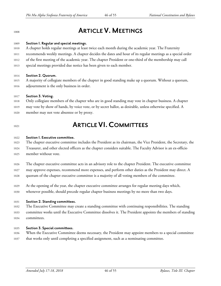## <span id="page-45-0"></span>**ARTICLE V. MEETINGS**

#### <span id="page-45-1"></span>**Section 1. Regularand special meetings.**

- A chapter holds regular meetings at least twice each month during the academic year. The Fraternity
- recommends weekly meetings. A chapter decides the dates and hour of its regular meetings as a special order
- of the first meeting of the academic year. The chapter President or one-third of the membership may call
- special meetings provided due notice has been given to each member.

#### <span id="page-45-2"></span>**Section 2. Quorum.**

 A majority of collegiate members of the chapter in good standing make up a quorum. Without a quorum, adjournment is the only business in order.

#### <span id="page-45-3"></span>**Section 3. Voting.**

- Only collegiate members of the chapter who are in good standing may vote in chapter business. A chapter
- may vote by show of hands, by voice vote, or by secret ballot, as desirable, unless otherwise specified. A
- member may not vote absentee or by proxy.

### <span id="page-45-4"></span>**ARTICLE VI.COMMITTEES**

#### <span id="page-45-5"></span>**Section 1. Executive committee.**

- The chapter executive committee includes the President as its chairman, the Vice President, the Secretary, the
- Treasurer, and other elected officers as the chapter considers suitable. The Faculty Advisor is an ex-officio
- member without vote.
- The chapter executive committee acts in an advisory role to the chapter President. The executive committee
- may approve expenses, recommend more expenses, and perform other duties as the President may direct. A
- quorum of the chapter executive committee is a majority of all voting members of the committee.
- At the opening of the year, the chapter executive committee arranges for regular meeting days which, whenever possible, should precede regular chapter business meetings by no more than two days.

#### <span id="page-45-6"></span>**Section 2. Standing committees.**

- The Executive Committee may create a standing committee with continuing responsibilities. The standing
- committee works until the Executive Committee dissolves it. The President appoints the members of standing
- committees.

#### <span id="page-45-7"></span>**Section 3. Specialcommittees.**

- When the Executive Committee deems necessary, the President may appoint members to a special committee
- that works only until completing a specified assignment, such as a nominating committee.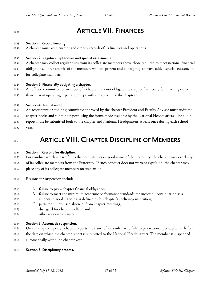### <span id="page-46-0"></span>**ARTICLE VII. FINANCES**

#### <span id="page-46-1"></span>**Section 1. Record keeping.**

A chapter must keep current and orderly records of its finances and operations.

#### <span id="page-46-2"></span>**Section 2. Regularchapter duesand specialassessments.**

- A chapter may collect regular dues from its collegiate members above those required to meet national financial
- obligations. Three-fourths of the members who are present and voting may approve added special assessments
- for collegiate members.

#### <span id="page-46-3"></span>**Section 3. Financially obligating achapter.**

- An officer, committee, or member of a chapter may not obligate the chapter financially for anything other
- 1047 than current operating expenses, except with the consent of the chapter.

#### <span id="page-46-4"></span>**Section 4. Annualaudit.**

- An accountant or auditing committee approved by the chapter President and Faculty Advisor must audit the
- chapter books and submit a report using the forms made available by the National Headquarters. The audit
- report must be submitted both to the chapter and National Headquarters at least once during each school
- year.

### <span id="page-46-5"></span>**ARTICLE VIII.CHAPTER DISCIPLINE OF MEMBERS**

#### <span id="page-46-6"></span>**Section 1. Reasons for discipline.**

- For conduct which is harmful to the best interests or good name of the Fraternity, the chapter may expel any
- of its collegiate members from the Fraternity. If such conduct does not warrant expulsion, the chapter may place any of its collegiate members on suspension.
- 
- Reasons for suspension include:
- A. failure to pay a chapter financial obligation;
- B. failure to meet the minimum academic performance standards for successful continuation as a student in good standing as defined by his chapter's sheltering institution;
- C. persistent unexcused absences from chapter meetings;
- D. disregard for chapter welfare; and
- E. other reasonable causes.

#### <span id="page-46-7"></span>**Section 2. Automatic suspension.**

- On the chapter report, a chapter reports the name of a member who fails to pay national per capita tax before
- the date on which the chapter report is submitted to the National Headquarters. The member is suspended automatically without a chapter vote.
- <span id="page-46-8"></span>**Section 3. Disciplinary process.**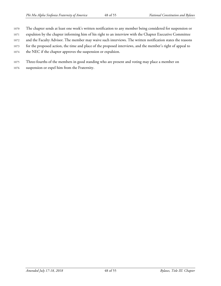- The chapter sends at least one week's written notification to any member being considered for suspension or
- expulsion by the chapter informing him of his right to an interview with the Chapter Executive Committee
- and the Faculty Advisor. The member may waive such interviews. The written notification states the reasons
- for the proposed action, the time and place of the proposed interviews, and the member's right of appeal to
- the NEC if the chapter approves the suspension or expulsion.
- Three-fourths of the members in good standing who are present and voting may place a member on
- suspension or expel him from the Fraternity.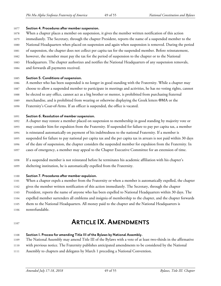#### <span id="page-48-0"></span>**Section 4. Procedures after member suspension.**

- When a chapter places a member on suspension, it gives the member written notification of this action
- immediately. The Secretary, through the chapter President, reports the name of a suspended member to the
- National Headquarters when placed on suspension and again when suspension is removed. During the period
- of suspension, the chapter does not collect per capita tax for the suspended member. Before reinstatement,
- however, the member must pay the tax for the period of suspension to the chapter or to the National
- Headquarters. The chapter authorizes and notifies the National Headquarters of any suspension removals,
- and forwards all payments received.

#### <span id="page-48-1"></span>**Section 5. Conditions of suspension.**

- A member who has been suspended is no longer in good standing with the Fraternity. While a chapter may
- choose to allow a suspended member to participate in meetings and activities, he has no voting rights, cannot
- be elected to any office, cannot act as a big brother or mentor, is prohibited from purchasing fraternal
- merchandise, and is prohibited from wearing or otherwise displaying the Greek letters ΦMA or the
- Fraternity's Coat-of-Arms. If an officer is suspended, the office is vacated.

#### <span id="page-48-2"></span>**Section 6. Resolution of member suspension.**

- A chapter may restore a member placed on suspension to membership in good standing by majority vote or
- may consider him for expulsion from the Fraternity. If suspended for failure to pay per capita tax, a member
- is reinstated automatically on payment of his indebtedness to the national Fraternity. If a member is
- suspended for failure to pay national per capita tax and the per capita tax in arrears is not paid within 30 days
- of the date of suspension, the chapter considers the suspended member for expulsion from the Fraternity. In
- cases of emergency, a member may appeal to the Chapter Executive Committee for an extension of time.
- If a suspended member is not reinstated before he terminates his academic affiliation with his chapter's
- sheltering institution, he is automatically expelled from the Fraternity.

### <span id="page-48-3"></span>**Section 7. Procedures after member expulsion.**

- When a chapter expels a member from the Fraternity or when a member is automatically expelled, the chapter
- gives the member written notification of this action immediately. The Secretary, through the chapter
- President, reports the name of anyone who has been expelled to National Headquarters within 30 days. The
- expelled member surrenders all emblems and insignia of membership to the chapter, and the chapter forwards
- them to the National Headquarters. All money paid to the chapter and the National Headquarters is
- nonrefundable.

### <span id="page-48-4"></span>**ARTICLE IX. AMENDMENTS**

### <span id="page-48-5"></span>**Section 1. Process foramending Title III of the Bylaws by National Assembly.**

- The National Assembly may amend Title III of the Bylaws with a vote of at least two-thirds in the affirmative
- with previous notice. The Fraternity publishes anticipated amendments to be considered by the National
- Assembly to chapters and delegates by March 1 preceding a National Convention.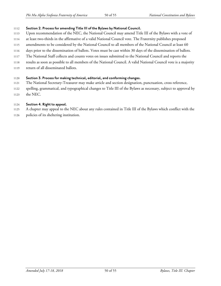#### <span id="page-49-0"></span>**Section 2. Process foramending Title III of the Bylaws by National Council.**

- Upon recommendation of the NEC, the National Council may amend Title III of the Bylaws with a vote of
- at least two-thirds in the affirmative of a valid National Council vote. The Fraternity publishes proposed
- amendments to be considered by the National Council to all members of the National Council at least 60
- days prior to the dissemination of ballots. Votes must be cast within 30 days of the dissemination of ballots.
- The National Staff collects and counts votes on issues submitted to the National Council and reports the
- results as soon as possible to all members of the National Council. A valid National Council vote is a majority
- return of all disseminated ballots.

### <span id="page-49-1"></span>**Section 3. Process for making technical, editorial,and conforming changes.**

- The National Secretary-Treasurer may make article and section designation, punctuation, cross reference,
- spelling, grammatical, and typographical changes to Title III of the Bylaws as necessary, subject to approval by
- the NEC.

### <span id="page-49-2"></span>**Section 4. Right to appeal.**

- A chapter may appeal to the NEC about any rules contained in Title III of the Bylaws which conflict with the
- policies of its sheltering institution.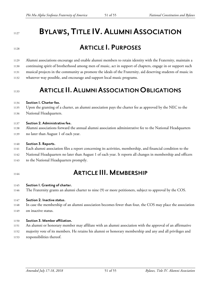## <span id="page-50-0"></span>**BYLAWS, TITLE IV. ALUMNI ASSOCIATION**

## <span id="page-50-1"></span>**ARTICLE I. PURPOSES**

 Alumni associations encourage and enable alumni members to retain identity with the Fraternity, maintain a continuing spirit of brotherhood among men of music, act in support of chapters, engage in or support such musical projects in the community as promote the ideals of the Fraternity, aid deserving students of music in whatever way possible, and encourage and support local music programs.

### <span id="page-50-2"></span>**ARTICLE II. ALUMNI ASSOCIATION OBLIGATIONS**

#### <span id="page-50-3"></span>**Section 1. Charter fee.**

- Upon the granting of a charter, an alumni association pays the charter fee as approved by the NEC to the
- National Headquarters.

#### <span id="page-50-4"></span>**Section 2. Administrative fee.**

- Alumni associations forward the annual alumni association administrative fee to the National Headquarters
- no later than August 1 of each year.

#### <span id="page-50-5"></span>**Section 3. Reports.**

- Each alumni association files a report concerning its activities, membership, and financial condition to the
- National Headquarters no later than August 1 of each year. It reports all changes in membership and officers
- to the National Headquarters promptly.
- 

### <span id="page-50-6"></span>**ARTICLE III.MEMBERSHIP**

#### <span id="page-50-7"></span>**Section I. Granting of charter.**

The Fraternity grants an alumni charter to nine (9) or more petitioners, subject to approval by the COS.

#### <span id="page-50-8"></span>**Section 2. Inactive status.**

- In case the membership of an alumni association becomes fewer than four, the COS may place the association
- on inactive status.

#### <span id="page-50-9"></span>**Section 3. Memberaffiliation.**

- An alumni or honorary member may affiliate with an alumni association with the approval of an affirmative
- majority vote of its members. He retains his alumni or honorary membership and any and all privileges and
- responsibilities thereof.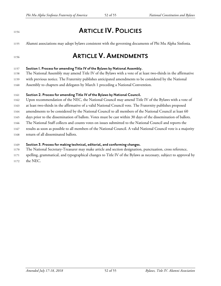## <span id="page-51-0"></span>**ARTICLE IV. POLICIES**

Alumni associations may adopt bylaws consistent with the governing documents of Phi Mu Alpha Sinfonia.

### <span id="page-51-1"></span>**ARTICLE V. AMENDMENTS**

#### <span id="page-51-2"></span>**Section 1. Process foramending Title IV of the Bylaws by National Assembly.**

The National Assembly may amend Title IV of the Bylaws with a vote of at least two-thirds in the affirmative

- with previous notice. The Fraternity publishes anticipated amendments to be considered by the National
- Assembly to chapters and delegates by March 1 preceding a National Convention.

#### <span id="page-51-3"></span>**Section 2. Process foramending Title IV of the Bylaws by National Council.**

Upon recommendation of the NEC, the National Council may amend Title IV of the Bylaws with a vote of

at least two-thirds in the affirmative of a valid National Council vote. The Fraternity publishes proposed

amendments to be considered by the National Council to all members of the National Council at least 60

days prior to the dissemination of ballots. Votes must be cast within 30 days of the dissemination of ballots.

The National Staff collects and counts votes on issues submitted to the National Council and reports the

results as soon as possible to all members of the National Council. A valid National Council vote is a majority

return of all disseminated ballots.

#### <span id="page-51-4"></span>**Section 3. Process for making technical, editorial,and conforming changes.**

- The National Secretary-Treasurer may make article and section designation, punctuation, cross reference,
- spelling, grammatical, and typographical changes to Title IV of the Bylaws as necessary, subject to approval by
- the NEC.